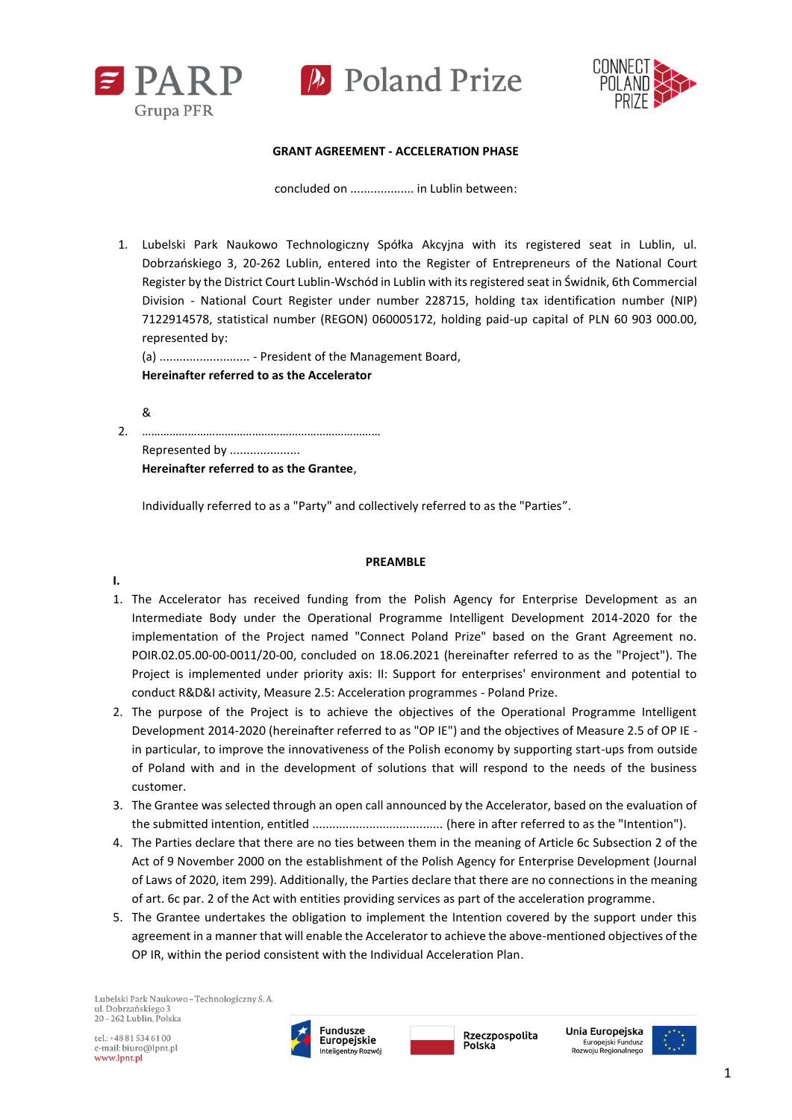



#### **GRANT AGREEMENT - ACCELERATION PHASE**

concluded on ................... in Lublin between:

1. Lubelski Park Naukowo Technologiczny Spółka Akcyjna with its registered seat in Lublin, ul. Dobrzańskiego 3, 20-262 Lublin, entered into the Register of Entrepreneurs of the National Court Register by the District Court Lublin-Wschód in Lublin with its registered seat in Świdnik, 6th Commercial Division - National Court Register under number 228715, holding tax identification number (NIP) 7122914578, statistical number (REGON) 060005172, holding paid-up capital of PLN 60 903 000.00, represented by:

(a) ........................... - President of the Management Board, **Hereinafter referred to as the Accelerator**

&

2. …………………………………………………………………… Represented by ..................... **Hereinafter referred to as the Grantee**,

Individually referred to as a "Party" and collectively referred to as the "Parties".

#### **PREAMBLE**

**I.** 

- 1. The Accelerator has received funding from the Polish Agency for Enterprise Development as an Intermediate Body under the Operational Programme Intelligent Development 2014-2020 for the implementation of the Project named "Connect Poland Prize" based on the Grant Agreement no. POIR.02.05.00-00-0011/20-00, concluded on 18.06.2021 (hereinafter referred to as the "Project"). The Project is implemented under priority axis: II: Support for enterprises' environment and potential to conduct R&D&I activity, Measure 2.5: Acceleration programmes - Poland Prize.
- 2. The purpose of the Project is to achieve the objectives of the Operational Programme Intelligent Development 2014-2020 (hereinafter referred to as "OP IE") and the objectives of Measure 2.5 of OP IE in particular, to improve the innovativeness of the Polish economy by supporting start-ups from outside of Poland with and in the development of solutions that will respond to the needs of the business customer.
- 3. The Grantee was selected through an open call announced by the Accelerator, based on the evaluation of the submitted intention, entitled ....................................... (here in after referred to as the "Intention").
- 4. The Parties declare that there are no ties between them in the meaning of Article 6c Subsection 2 of the Act of 9 November 2000 on the establishment of the Polish Agency for Enterprise Development (Journal of Laws of 2020, item 299). Additionally, the Parties declare that there are no connections in the meaning of art. 6c par. 2 of the Act with entities providing services as part of the acceleration programme.
- 5. The Grantee undertakes the obligation to implement the Intention covered by the support under this agreement in a manner that will enable the Accelerator to achieve the above-mentioned objectives of the OP IR, within the period consistent with the Individual Acceleration Plan.

Lubelski Park Naukowo - Technologiczny S. A. ul. Dobrzańskiego 3 20-262 Lublin, Polska

tel.: +48 81 534 61 00 e-mail: biuro@lpnt.pl www.lpnt.pl



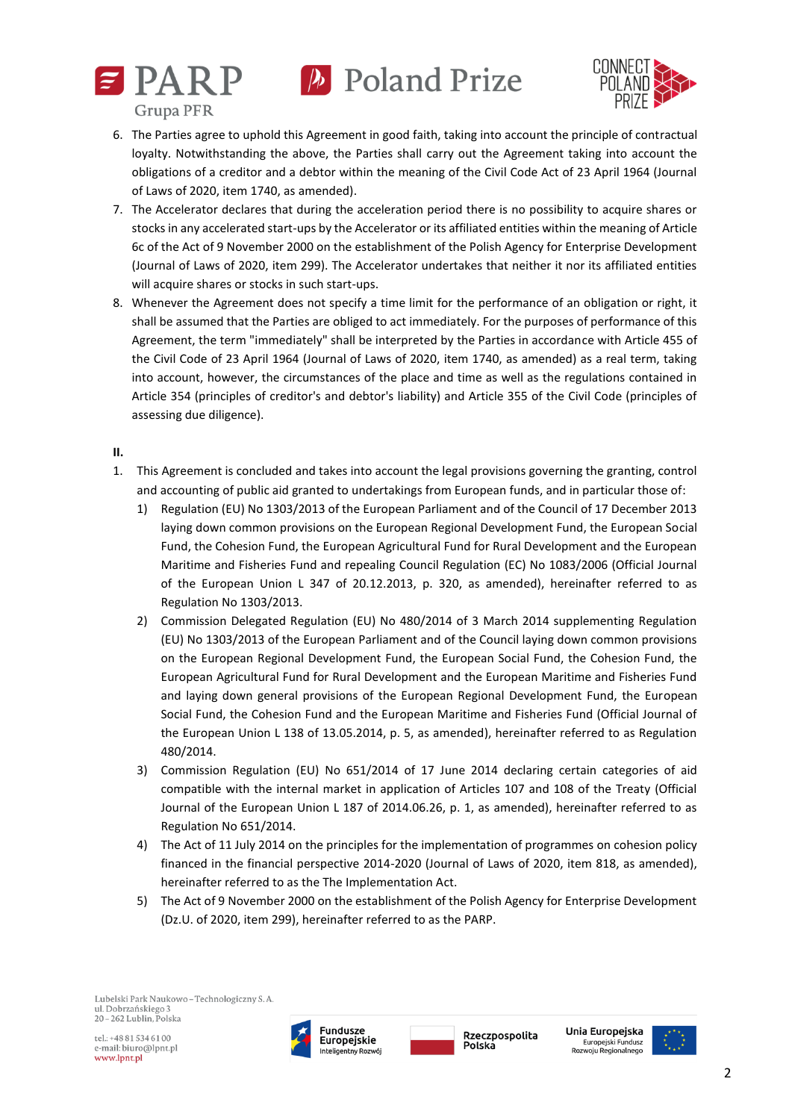



- 6. The Parties agree to uphold this Agreement in good faith, taking into account the principle of contractual loyalty. Notwithstanding the above, the Parties shall carry out the Agreement taking into account the obligations of a creditor and a debtor within the meaning of the Civil Code Act of 23 April 1964 (Journal of Laws of 2020, item 1740, as amended).
- 7. The Accelerator declares that during the acceleration period there is no possibility to acquire shares or stocks in any accelerated start-ups by the Accelerator or its affiliated entities within the meaning of Article 6c of the Act of 9 November 2000 on the establishment of the Polish Agency for Enterprise Development (Journal of Laws of 2020, item 299). The Accelerator undertakes that neither it nor its affiliated entities will acquire shares or stocks in such start-ups.
- 8. Whenever the Agreement does not specify a time limit for the performance of an obligation or right, it shall be assumed that the Parties are obliged to act immediately. For the purposes of performance of this Agreement, the term "immediately" shall be interpreted by the Parties in accordance with Article 455 of the Civil Code of 23 April 1964 (Journal of Laws of 2020, item 1740, as amended) as a real term, taking into account, however, the circumstances of the place and time as well as the regulations contained in Article 354 (principles of creditor's and debtor's liability) and Article 355 of the Civil Code (principles of assessing due diligence).

### **II.**

- 1. This Agreement is concluded and takes into account the legal provisions governing the granting, control and accounting of public aid granted to undertakings from European funds, and in particular those of:
	- 1) Regulation (EU) No 1303/2013 of the European Parliament and of the Council of 17 December 2013 laying down common provisions on the European Regional Development Fund, the European Social Fund, the Cohesion Fund, the European Agricultural Fund for Rural Development and the European Maritime and Fisheries Fund and repealing Council Regulation (EC) No 1083/2006 (Official Journal of the European Union L 347 of 20.12.2013, p. 320, as amended), hereinafter referred to as Regulation No 1303/2013.
	- 2) Commission Delegated Regulation (EU) No 480/2014 of 3 March 2014 supplementing Regulation (EU) No 1303/2013 of the European Parliament and of the Council laying down common provisions on the European Regional Development Fund, the European Social Fund, the Cohesion Fund, the European Agricultural Fund for Rural Development and the European Maritime and Fisheries Fund and laying down general provisions of the European Regional Development Fund, the European Social Fund, the Cohesion Fund and the European Maritime and Fisheries Fund (Official Journal of the European Union L 138 of 13.05.2014, p. 5, as amended), hereinafter referred to as Regulation 480/2014.
	- 3) Commission Regulation (EU) No 651/2014 of 17 June 2014 declaring certain categories of aid compatible with the internal market in application of Articles 107 and 108 of the Treaty (Official Journal of the European Union L 187 of 2014.06.26, p. 1, as amended), hereinafter referred to as Regulation No 651/2014.
	- 4) The Act of 11 July 2014 on the principles for the implementation of programmes on cohesion policy financed in the financial perspective 2014-2020 (Journal of Laws of 2020, item 818, as amended), hereinafter referred to as the The Implementation Act.
	- 5) The Act of 9 November 2000 on the establishment of the Polish Agency for Enterprise Development (Dz.U. of 2020, item 299), hereinafter referred to as the PARP.



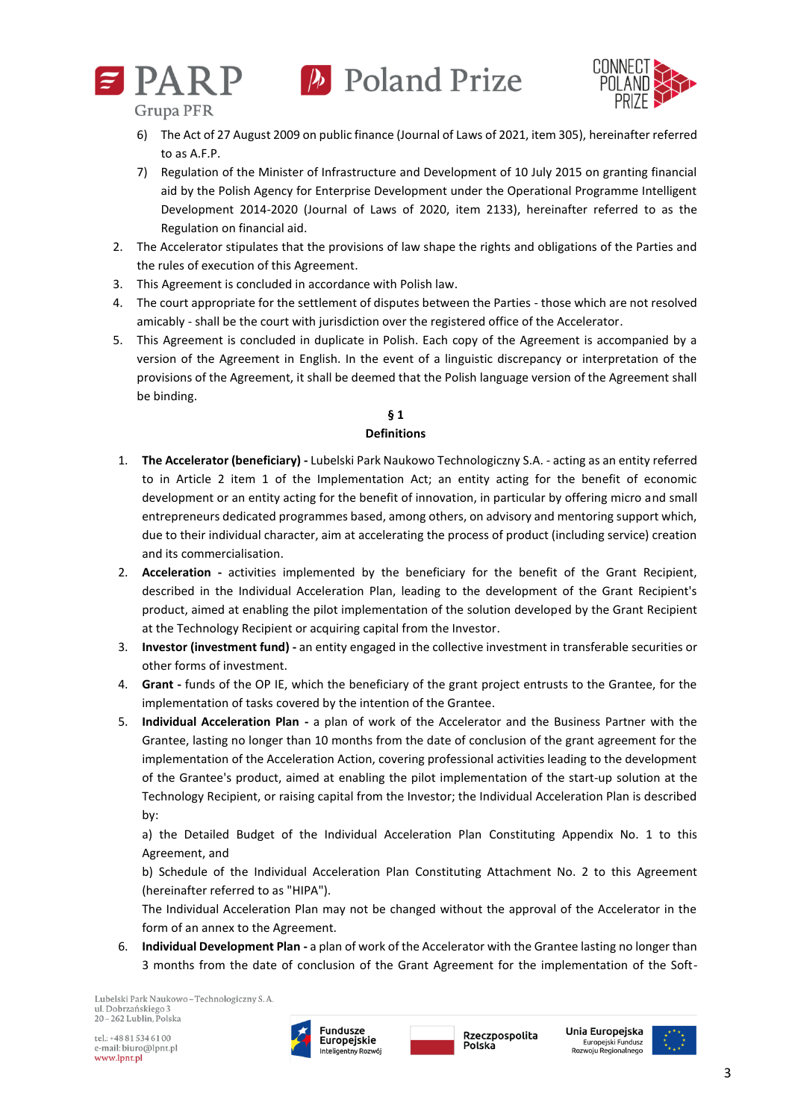



**Grupa PFR** 

- 6) The Act of 27 August 2009 on public finance (Journal of Laws of 2021, item 305), hereinafter referred to as A.F.P.
- 7) Regulation of the Minister of Infrastructure and Development of 10 July 2015 on granting financial aid by the Polish Agency for Enterprise Development under the Operational Programme Intelligent Development 2014-2020 (Journal of Laws of 2020, item 2133), hereinafter referred to as the Regulation on financial aid.
- 2. The Accelerator stipulates that the provisions of law shape the rights and obligations of the Parties and the rules of execution of this Agreement.
- 3. This Agreement is concluded in accordance with Polish law.
- 4. The court appropriate for the settlement of disputes between the Parties those which are not resolved amicably - shall be the court with jurisdiction over the registered office of the Accelerator.
- 5. This Agreement is concluded in duplicate in Polish. Each copy of the Agreement is accompanied by a version of the Agreement in English. In the event of a linguistic discrepancy or interpretation of the provisions of the Agreement, it shall be deemed that the Polish language version of the Agreement shall be binding.

#### **§ 1 Definitions**

- 1. **The Accelerator (beneficiary) -** Lubelski Park Naukowo Technologiczny S.A. acting as an entity referred to in Article 2 item 1 of the Implementation Act; an entity acting for the benefit of economic development or an entity acting for the benefit of innovation, in particular by offering micro and small entrepreneurs dedicated programmes based, among others, on advisory and mentoring support which, due to their individual character, aim at accelerating the process of product (including service) creation and its commercialisation.
- 2. **Acceleration -** activities implemented by the beneficiary for the benefit of the Grant Recipient, described in the Individual Acceleration Plan, leading to the development of the Grant Recipient's product, aimed at enabling the pilot implementation of the solution developed by the Grant Recipient at the Technology Recipient or acquiring capital from the Investor.
- 3. **Investor (investment fund) -** an entity engaged in the collective investment in transferable securities or other forms of investment.
- 4. **Grant -** funds of the OP IE, which the beneficiary of the grant project entrusts to the Grantee, for the implementation of tasks covered by the intention of the Grantee.
- 5. **Individual Acceleration Plan -** a plan of work of the Accelerator and the Business Partner with the Grantee, lasting no longer than 10 months from the date of conclusion of the grant agreement for the implementation of the Acceleration Action, covering professional activities leading to the development of the Grantee's product, aimed at enabling the pilot implementation of the start-up solution at the Technology Recipient, or raising capital from the Investor; the Individual Acceleration Plan is described by:

a) the Detailed Budget of the Individual Acceleration Plan Constituting Appendix No. 1 to this Agreement, and

b) Schedule of the Individual Acceleration Plan Constituting Attachment No. 2 to this Agreement (hereinafter referred to as "HIPA").

The Individual Acceleration Plan may not be changed without the approval of the Accelerator in the form of an annex to the Agreement.

6. **Individual Development Plan -** a plan of work of the Accelerator with the Grantee lasting no longer than 3 months from the date of conclusion of the Grant Agreement for the implementation of the Soft-

Lubelski Park Naukowo - Technologiczny S. A. ul. Dobrzańskiego 3 20-262 Lublin, Polska





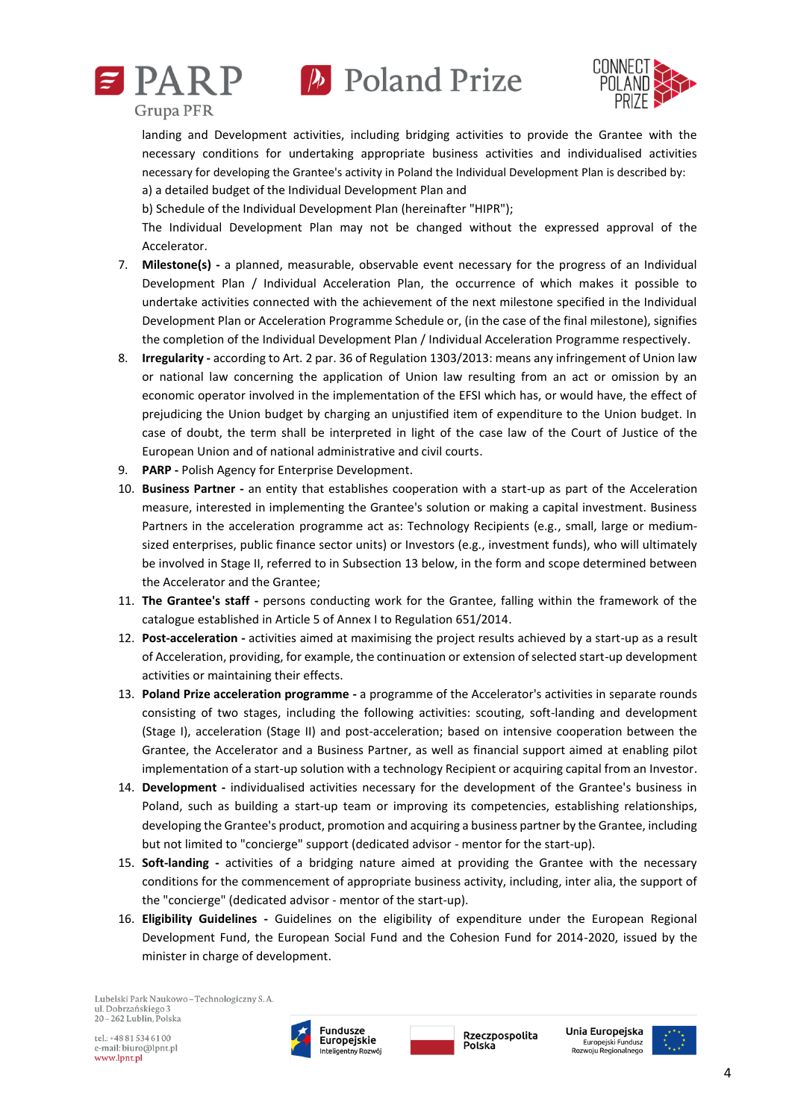





landing and Development activities, including bridging activities to provide the Grantee with the necessary conditions for undertaking appropriate business activities and individualised activities necessary for developing the Grantee's activity in Poland the Individual Development Plan is described by: a) a detailed budget of the Individual Development Plan and

b) Schedule of the Individual Development Plan (hereinafter "HIPR");

The Individual Development Plan may not be changed without the expressed approval of the Accelerator.

- 7. **Milestone(s) -** a planned, measurable, observable event necessary for the progress of an Individual Development Plan / Individual Acceleration Plan, the occurrence of which makes it possible to undertake activities connected with the achievement of the next milestone specified in the Individual Development Plan or Acceleration Programme Schedule or, (in the case of the final milestone), signifies the completion of the Individual Development Plan / Individual Acceleration Programme respectively.
- 8. **Irregularity -** according to Art. 2 par. 36 of Regulation 1303/2013: means any infringement of Union law or national law concerning the application of Union law resulting from an act or omission by an economic operator involved in the implementation of the EFSI which has, or would have, the effect of prejudicing the Union budget by charging an unjustified item of expenditure to the Union budget. In case of doubt, the term shall be interpreted in light of the case law of the Court of Justice of the European Union and of national administrative and civil courts.
- 9. **PARP -** Polish Agency for Enterprise Development.
- 10. **Business Partner -** an entity that establishes cooperation with a start-up as part of the Acceleration measure, interested in implementing the Grantee's solution or making a capital investment. Business Partners in the acceleration programme act as: Technology Recipients (e.g., small, large or mediumsized enterprises, public finance sector units) or Investors (e.g., investment funds), who will ultimately be involved in Stage II, referred to in Subsection 13 below, in the form and scope determined between the Accelerator and the Grantee;
- 11. **The Grantee's staff -** persons conducting work for the Grantee, falling within the framework of the catalogue established in Article 5 of Annex I to Regulation 651/2014.
- 12. **Post-acceleration -** activities aimed at maximising the project results achieved by a start-up as a result of Acceleration, providing, for example, the continuation or extension of selected start-up development activities or maintaining their effects.
- 13. **Poland Prize acceleration programme -** a programme of the Accelerator's activities in separate rounds consisting of two stages, including the following activities: scouting, soft-landing and development (Stage I), acceleration (Stage II) and post-acceleration; based on intensive cooperation between the Grantee, the Accelerator and a Business Partner, as well as financial support aimed at enabling pilot implementation of a start-up solution with a technology Recipient or acquiring capital from an Investor.
- 14. **Development -** individualised activities necessary for the development of the Grantee's business in Poland, such as building a start-up team or improving its competencies, establishing relationships, developing the Grantee's product, promotion and acquiring a business partner by the Grantee, including but not limited to "concierge" support (dedicated advisor - mentor for the start-up).
- 15. **Soft-landing -** activities of a bridging nature aimed at providing the Grantee with the necessary conditions for the commencement of appropriate business activity, including, inter alia, the support of the "concierge" (dedicated advisor - mentor of the start-up).
- 16. **Eligibility Guidelines -** Guidelines on the eligibility of expenditure under the European Regional Development Fund, the European Social Fund and the Cohesion Fund for 2014-2020, issued by the minister in charge of development.

Lubelski Park Naukowo - Technologiczny S. A. ul. Dobrzańskiego 3 20-262 Lublin, Polska



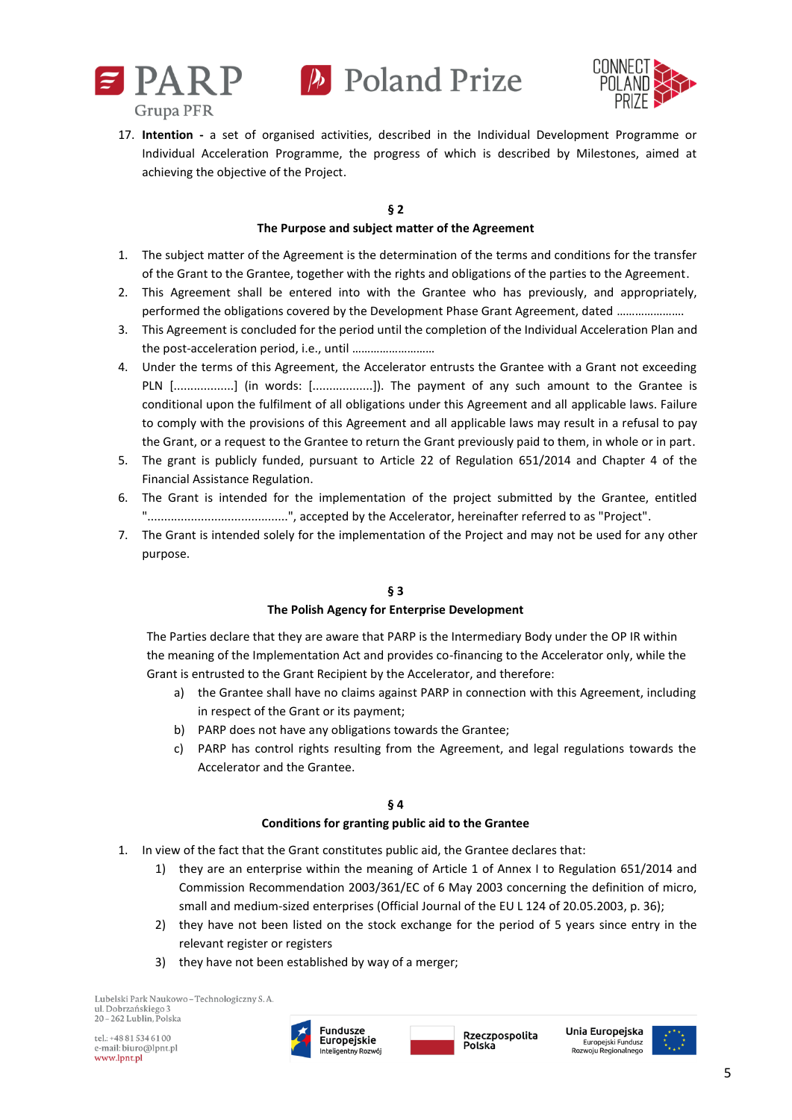



17. **Intention -** a set of organised activities, described in the Individual Development Programme or Individual Acceleration Programme, the progress of which is described by Milestones, aimed at achieving the objective of the Project.

#### **§ 2 The Purpose and subject matter of the Agreement**

- 1. The subject matter of the Agreement is the determination of the terms and conditions for the transfer of the Grant to the Grantee, together with the rights and obligations of the parties to the Agreement.
- 2. This Agreement shall be entered into with the Grantee who has previously, and appropriately, performed the obligations covered by the Development Phase Grant Agreement, dated ………………….
- 3. This Agreement is concluded for the period until the completion of the Individual Acceleration Plan and the post-acceleration period, i.e., until ………………………
- 4. Under the terms of this Agreement, the Accelerator entrusts the Grantee with a Grant not exceeding PLN [..................] (in words: [..................]). The payment of any such amount to the Grantee is conditional upon the fulfilment of all obligations under this Agreement and all applicable laws. Failure to comply with the provisions of this Agreement and all applicable laws may result in a refusal to pay the Grant, or a request to the Grantee to return the Grant previously paid to them, in whole or in part.
- 5. The grant is publicly funded, pursuant to Article 22 of Regulation 651/2014 and Chapter 4 of the Financial Assistance Regulation.
- 6. The Grant is intended for the implementation of the project submitted by the Grantee, entitled "..........................................", accepted by the Accelerator, hereinafter referred to as "Project".
- 7. The Grant is intended solely for the implementation of the Project and may not be used for any other purpose.

# **§ 3**

# **The Polish Agency for Enterprise Development**

The Parties declare that they are aware that PARP is the Intermediary Body under the OP IR within the meaning of the Implementation Act and provides co-financing to the Accelerator only, while the Grant is entrusted to the Grant Recipient by the Accelerator, and therefore:

- a) the Grantee shall have no claims against PARP in connection with this Agreement, including in respect of the Grant or its payment;
- b) PARP does not have any obligations towards the Grantee;
- c) PARP has control rights resulting from the Agreement, and legal regulations towards the Accelerator and the Grantee.

# **§ 4**

# **Conditions for granting public aid to the Grantee**

- 1. In view of the fact that the Grant constitutes public aid, the Grantee declares that:
	- 1) they are an enterprise within the meaning of Article 1 of Annex I to Regulation 651/2014 and Commission Recommendation 2003/361/EC of 6 May 2003 concerning the definition of micro, small and medium-sized enterprises (Official Journal of the EU L 124 of 20.05.2003, p. 36);
	- 2) they have not been listed on the stock exchange for the period of 5 years since entry in the relevant register or registers
	- 3) they have not been established by way of a merger;

Lubelski Park Naukowo - Technologiczny S. A. ul. Dobrzańskiego 3  $20 - 262$  Lublin. Polska

tel.: +48 81 534 61 00 e-mail: biuro@lpnt.pl www.lpnt.pl





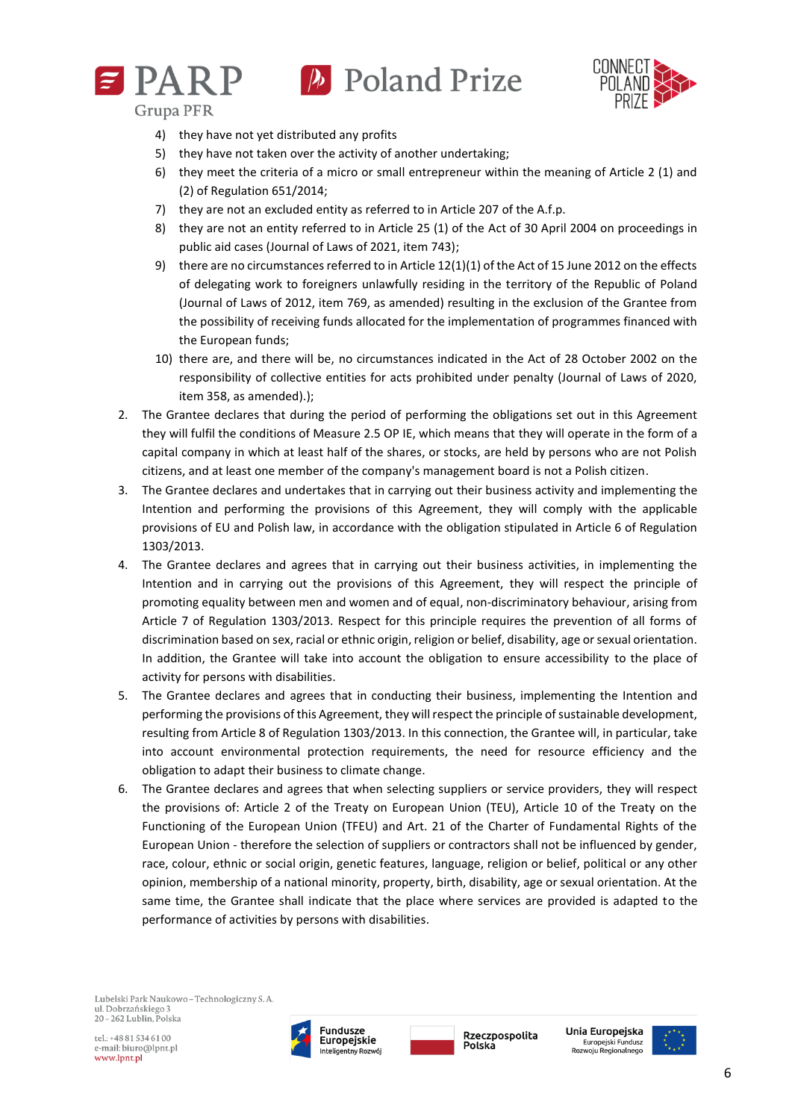



- **Grupa PFR** 
	- 4) they have not yet distributed any profits
	- 5) they have not taken over the activity of another undertaking;
	- 6) they meet the criteria of a micro or small entrepreneur within the meaning of Article 2 (1) and (2) of Regulation 651/2014;
	- 7) they are not an excluded entity as referred to in Article 207 of the A.f.p.
	- 8) they are not an entity referred to in Article 25 (1) of the Act of 30 April 2004 on proceedings in public aid cases (Journal of Laws of 2021, item 743);
	- 9) there are no circumstances referred to in Article 12(1)(1) of the Act of 15 June 2012 on the effects of delegating work to foreigners unlawfully residing in the territory of the Republic of Poland (Journal of Laws of 2012, item 769, as amended) resulting in the exclusion of the Grantee from the possibility of receiving funds allocated for the implementation of programmes financed with the European funds;
	- 10) there are, and there will be, no circumstances indicated in the Act of 28 October 2002 on the responsibility of collective entities for acts prohibited under penalty (Journal of Laws of 2020, item 358, as amended).);
- 2. The Grantee declares that during the period of performing the obligations set out in this Agreement they will fulfil the conditions of Measure 2.5 OP IE, which means that they will operate in the form of a capital company in which at least half of the shares, or stocks, are held by persons who are not Polish citizens, and at least one member of the company's management board is not a Polish citizen.
- 3. The Grantee declares and undertakes that in carrying out their business activity and implementing the Intention and performing the provisions of this Agreement, they will comply with the applicable provisions of EU and Polish law, in accordance with the obligation stipulated in Article 6 of Regulation 1303/2013.
- 4. The Grantee declares and agrees that in carrying out their business activities, in implementing the Intention and in carrying out the provisions of this Agreement, they will respect the principle of promoting equality between men and women and of equal, non-discriminatory behaviour, arising from Article 7 of Regulation 1303/2013. Respect for this principle requires the prevention of all forms of discrimination based on sex, racial or ethnic origin, religion or belief, disability, age or sexual orientation. In addition, the Grantee will take into account the obligation to ensure accessibility to the place of activity for persons with disabilities.
- 5. The Grantee declares and agrees that in conducting their business, implementing the Intention and performing the provisions of this Agreement, they will respect the principle of sustainable development, resulting from Article 8 of Regulation 1303/2013. In this connection, the Grantee will, in particular, take into account environmental protection requirements, the need for resource efficiency and the obligation to adapt their business to climate change.
- 6. The Grantee declares and agrees that when selecting suppliers or service providers, they will respect the provisions of: Article 2 of the Treaty on European Union (TEU), Article 10 of the Treaty on the Functioning of the European Union (TFEU) and Art. 21 of the Charter of Fundamental Rights of the European Union - therefore the selection of suppliers or contractors shall not be influenced by gender, race, colour, ethnic or social origin, genetic features, language, religion or belief, political or any other opinion, membership of a national minority, property, birth, disability, age or sexual orientation. At the same time, the Grantee shall indicate that the place where services are provided is adapted to the performance of activities by persons with disabilities.

Lubelski Park Naukowo - Technologiczny S. A. ul. Dobrzańskiego 3 20-262 Lublin, Polska

tel.: +48 81 534 61 00 e-mail: biuro@lpnt.pl www.lpnt.pl



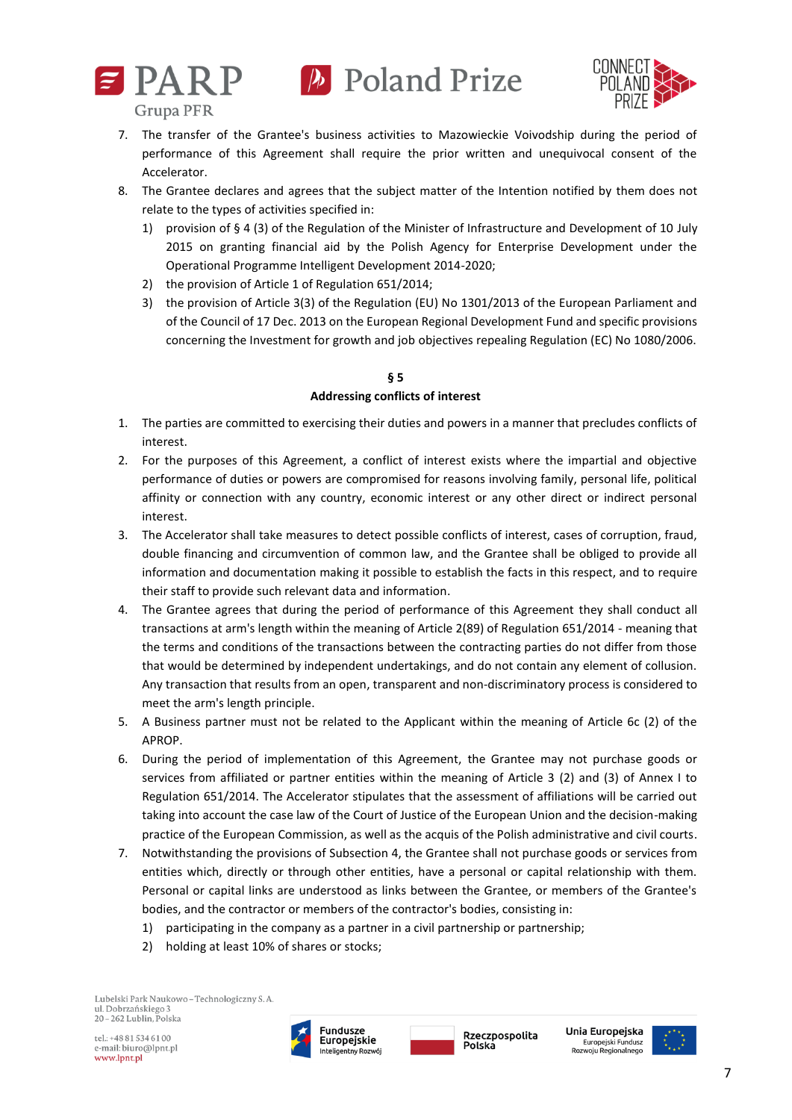



**Grupa PFR** 

- 7. The transfer of the Grantee's business activities to Mazowieckie Voivodship during the period of performance of this Agreement shall require the prior written and unequivocal consent of the Accelerator.
- 8. The Grantee declares and agrees that the subject matter of the Intention notified by them does not relate to the types of activities specified in:
	- 1) provision of § 4 (3) of the Regulation of the Minister of Infrastructure and Development of 10 July 2015 on granting financial aid by the Polish Agency for Enterprise Development under the Operational Programme Intelligent Development 2014-2020;
	- 2) the provision of Article 1 of Regulation 651/2014;
	- 3) the provision of Article 3(3) of the Regulation (EU) No 1301/2013 of the European Parliament and of the Council of 17 Dec. 2013 on the European Regional Development Fund and specific provisions concerning the Investment for growth and job objectives repealing Regulation (EC) No 1080/2006.

# **§ 5 Addressing conflicts of interest**

- 1. The parties are committed to exercising their duties and powers in a manner that precludes conflicts of interest.
- 2. For the purposes of this Agreement, a conflict of interest exists where the impartial and objective performance of duties or powers are compromised for reasons involving family, personal life, political affinity or connection with any country, economic interest or any other direct or indirect personal interest.
- 3. The Accelerator shall take measures to detect possible conflicts of interest, cases of corruption, fraud, double financing and circumvention of common law, and the Grantee shall be obliged to provide all information and documentation making it possible to establish the facts in this respect, and to require their staff to provide such relevant data and information.
- 4. The Grantee agrees that during the period of performance of this Agreement they shall conduct all transactions at arm's length within the meaning of Article 2(89) of Regulation 651/2014 - meaning that the terms and conditions of the transactions between the contracting parties do not differ from those that would be determined by independent undertakings, and do not contain any element of collusion. Any transaction that results from an open, transparent and non-discriminatory process is considered to meet the arm's length principle.
- 5. A Business partner must not be related to the Applicant within the meaning of Article 6c (2) of the APROP.
- 6. During the period of implementation of this Agreement, the Grantee may not purchase goods or services from affiliated or partner entities within the meaning of Article 3 (2) and (3) of Annex I to Regulation 651/2014. The Accelerator stipulates that the assessment of affiliations will be carried out taking into account the case law of the Court of Justice of the European Union and the decision-making practice of the European Commission, as well as the acquis of the Polish administrative and civil courts.
- 7. Notwithstanding the provisions of Subsection 4, the Grantee shall not purchase goods or services from entities which, directly or through other entities, have a personal or capital relationship with them. Personal or capital links are understood as links between the Grantee, or members of the Grantee's bodies, and the contractor or members of the contractor's bodies, consisting in:
	- 1) participating in the company as a partner in a civil partnership or partnership;
	- 2) holding at least 10% of shares or stocks;

Lubelski Park Naukowo - Technologiczny S. A. ul. Dobrzańskiego 3 20-262 Lublin, Polska

tel.: +48 81 534 61 00 e-mail: biuro@lpnt.pl www.lpnt.pl



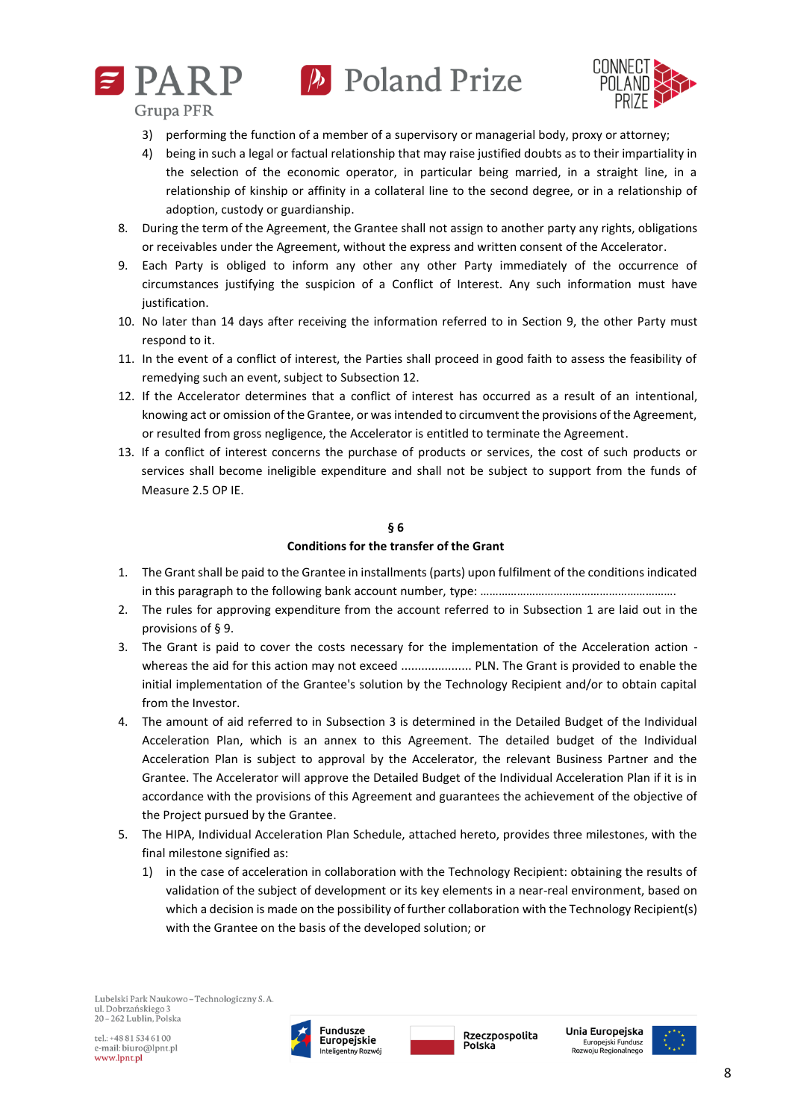



**Grupa PFR** 

- 3) performing the function of a member of a supervisory or managerial body, proxy or attorney;
- 4) being in such a legal or factual relationship that may raise justified doubts as to their impartiality in the selection of the economic operator, in particular being married, in a straight line, in a relationship of kinship or affinity in a collateral line to the second degree, or in a relationship of adoption, custody or guardianship.
- 8. During the term of the Agreement, the Grantee shall not assign to another party any rights, obligations or receivables under the Agreement, without the express and written consent of the Accelerator.
- 9. Each Party is obliged to inform any other any other Party immediately of the occurrence of circumstances justifying the suspicion of a Conflict of Interest. Any such information must have justification.
- 10. No later than 14 days after receiving the information referred to in Section 9, the other Party must respond to it.
- 11. In the event of a conflict of interest, the Parties shall proceed in good faith to assess the feasibility of remedying such an event, subject to Subsection 12.
- 12. If the Accelerator determines that a conflict of interest has occurred as a result of an intentional, knowing act or omission of the Grantee, or was intended to circumvent the provisions of the Agreement, or resulted from gross negligence, the Accelerator is entitled to terminate the Agreement.
- 13. If a conflict of interest concerns the purchase of products or services, the cost of such products or services shall become ineligible expenditure and shall not be subject to support from the funds of Measure 2.5 OP IE.

#### **§ 6**

### **Conditions for the transfer of the Grant**

- 1. The Grant shall be paid to the Grantee in installments (parts) upon fulfilment of the conditions indicated in this paragraph to the following bank account number, type: ………………………………………………………………
- 2. The rules for approving expenditure from the account referred to in Subsection 1 are laid out in the provisions of § 9.
- 3. The Grant is paid to cover the costs necessary for the implementation of the Acceleration action whereas the aid for this action may not exceed ..................... PLN. The Grant is provided to enable the initial implementation of the Grantee's solution by the Technology Recipient and/or to obtain capital from the Investor.
- 4. The amount of aid referred to in Subsection 3 is determined in the Detailed Budget of the Individual Acceleration Plan, which is an annex to this Agreement. The detailed budget of the Individual Acceleration Plan is subject to approval by the Accelerator, the relevant Business Partner and the Grantee. The Accelerator will approve the Detailed Budget of the Individual Acceleration Plan if it is in accordance with the provisions of this Agreement and guarantees the achievement of the objective of the Project pursued by the Grantee.
- 5. The HIPA, Individual Acceleration Plan Schedule, attached hereto, provides three milestones, with the final milestone signified as:
	- 1) in the case of acceleration in collaboration with the Technology Recipient: obtaining the results of validation of the subject of development or its key elements in a near-real environment, based on which a decision is made on the possibility of further collaboration with the Technology Recipient(s) with the Grantee on the basis of the developed solution; or



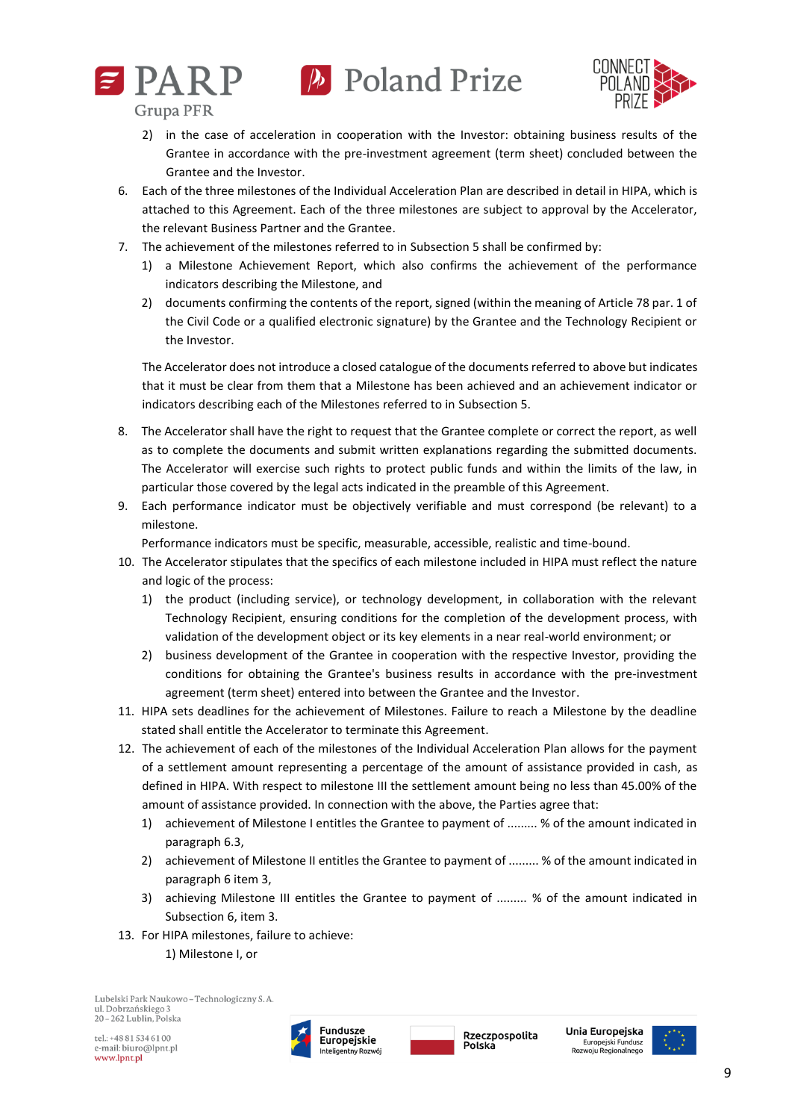



**Grupa PFR** 

- 2) in the case of acceleration in cooperation with the Investor: obtaining business results of the Grantee in accordance with the pre-investment agreement (term sheet) concluded between the Grantee and the Investor.
- 6. Each of the three milestones of the Individual Acceleration Plan are described in detail in HIPA, which is attached to this Agreement. Each of the three milestones are subject to approval by the Accelerator, the relevant Business Partner and the Grantee.
- 7. The achievement of the milestones referred to in Subsection 5 shall be confirmed by:
	- 1) a Milestone Achievement Report, which also confirms the achievement of the performance indicators describing the Milestone, and
	- 2) documents confirming the contents of the report, signed (within the meaning of Article 78 par. 1 of the Civil Code or a qualified electronic signature) by the Grantee and the Technology Recipient or the Investor.

The Accelerator does not introduce a closed catalogue of the documents referred to above but indicates that it must be clear from them that a Milestone has been achieved and an achievement indicator or indicators describing each of the Milestones referred to in Subsection 5.

- 8. The Accelerator shall have the right to request that the Grantee complete or correct the report, as well as to complete the documents and submit written explanations regarding the submitted documents. The Accelerator will exercise such rights to protect public funds and within the limits of the law, in particular those covered by the legal acts indicated in the preamble of this Agreement.
- 9. Each performance indicator must be objectively verifiable and must correspond (be relevant) to a milestone.

Performance indicators must be specific, measurable, accessible, realistic and time-bound.

- 10. The Accelerator stipulates that the specifics of each milestone included in HIPA must reflect the nature and logic of the process:
	- 1) the product (including service), or technology development, in collaboration with the relevant Technology Recipient, ensuring conditions for the completion of the development process, with validation of the development object or its key elements in a near real-world environment; or
	- 2) business development of the Grantee in cooperation with the respective Investor, providing the conditions for obtaining the Grantee's business results in accordance with the pre-investment agreement (term sheet) entered into between the Grantee and the Investor.
- 11. HIPA sets deadlines for the achievement of Milestones. Failure to reach a Milestone by the deadline stated shall entitle the Accelerator to terminate this Agreement.
- 12. The achievement of each of the milestones of the Individual Acceleration Plan allows for the payment of a settlement amount representing a percentage of the amount of assistance provided in cash, as defined in HIPA. With respect to milestone III the settlement amount being no less than 45.00% of the amount of assistance provided. In connection with the above, the Parties agree that:
	- 1) achievement of Milestone I entitles the Grantee to payment of ......... % of the amount indicated in paragraph 6.3,
	- 2) achievement of Milestone II entitles the Grantee to payment of ......... % of the amount indicated in paragraph 6 item 3,
	- 3) achieving Milestone III entitles the Grantee to payment of ......... % of the amount indicated in Subsection 6, item 3.
- 13. For HIPA milestones, failure to achieve:

1) Milestone I, or

Lubelski Park Naukowo - Technologiczny S. A. ul. Dobrzańskiego 3  $20 - 262$  Lublin. Polska



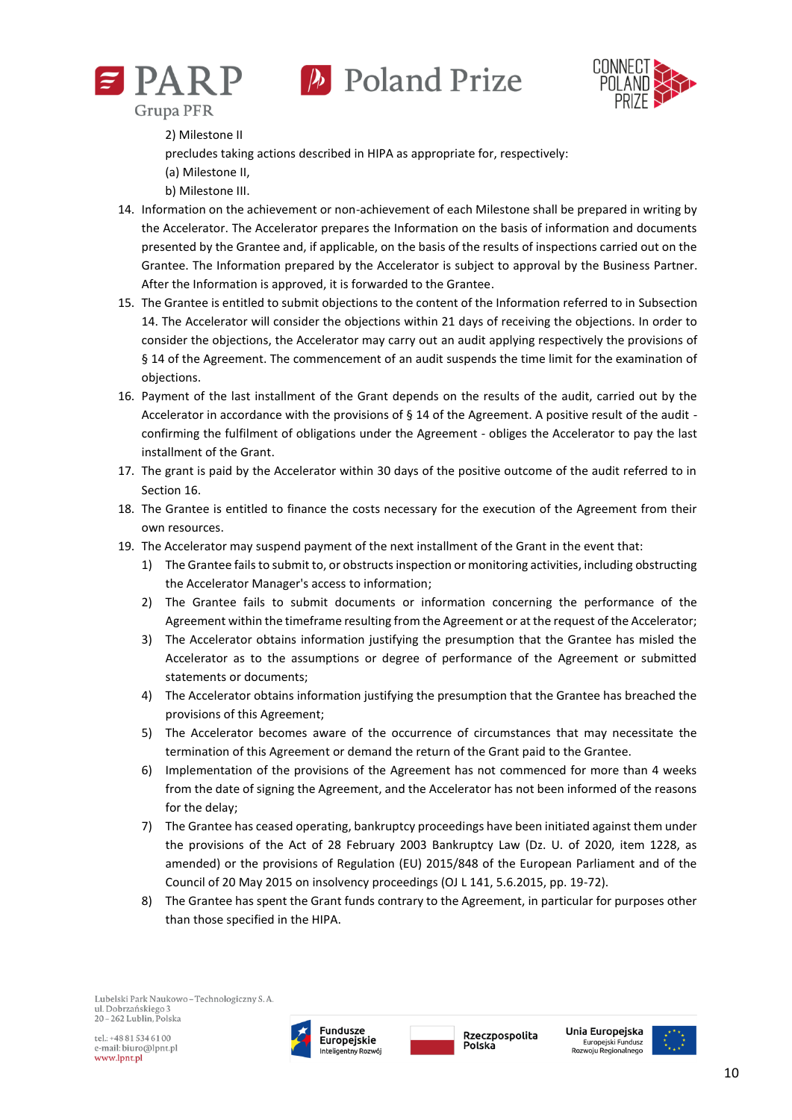





2) Milestone II

precludes taking actions described in HIPA as appropriate for, respectively:

(a) Milestone II,

b) Milestone III.

- 14. Information on the achievement or non-achievement of each Milestone shall be prepared in writing by the Accelerator. The Accelerator prepares the Information on the basis of information and documents presented by the Grantee and, if applicable, on the basis of the results of inspections carried out on the Grantee. The Information prepared by the Accelerator is subject to approval by the Business Partner. After the Information is approved, it is forwarded to the Grantee.
- 15. The Grantee is entitled to submit objections to the content of the Information referred to in Subsection 14. The Accelerator will consider the objections within 21 days of receiving the objections. In order to consider the objections, the Accelerator may carry out an audit applying respectively the provisions of § 14 of the Agreement. The commencement of an audit suspends the time limit for the examination of objections.
- 16. Payment of the last installment of the Grant depends on the results of the audit, carried out by the Accelerator in accordance with the provisions of  $\S$  14 of the Agreement. A positive result of the audit confirming the fulfilment of obligations under the Agreement - obliges the Accelerator to pay the last installment of the Grant.
- 17. The grant is paid by the Accelerator within 30 days of the positive outcome of the audit referred to in Section 16.
- 18. The Grantee is entitled to finance the costs necessary for the execution of the Agreement from their own resources.
- 19. The Accelerator may suspend payment of the next installment of the Grant in the event that:
	- 1) The Grantee fails to submit to, or obstructs inspection or monitoring activities, including obstructing the Accelerator Manager's access to information;
	- 2) The Grantee fails to submit documents or information concerning the performance of the Agreement within the timeframe resulting from the Agreement or at the request of the Accelerator;
	- 3) The Accelerator obtains information justifying the presumption that the Grantee has misled the Accelerator as to the assumptions or degree of performance of the Agreement or submitted statements or documents;
	- 4) The Accelerator obtains information justifying the presumption that the Grantee has breached the provisions of this Agreement;
	- 5) The Accelerator becomes aware of the occurrence of circumstances that may necessitate the termination of this Agreement or demand the return of the Grant paid to the Grantee.
	- 6) Implementation of the provisions of the Agreement has not commenced for more than 4 weeks from the date of signing the Agreement, and the Accelerator has not been informed of the reasons for the delay;
	- 7) The Grantee has ceased operating, bankruptcy proceedings have been initiated against them under the provisions of the Act of 28 February 2003 Bankruptcy Law (Dz. U. of 2020, item 1228, as amended) or the provisions of Regulation (EU) 2015/848 of the European Parliament and of the Council of 20 May 2015 on insolvency proceedings (OJ L 141, 5.6.2015, pp. 19-72).
	- 8) The Grantee has spent the Grant funds contrary to the Agreement, in particular for purposes other than those specified in the HIPA.





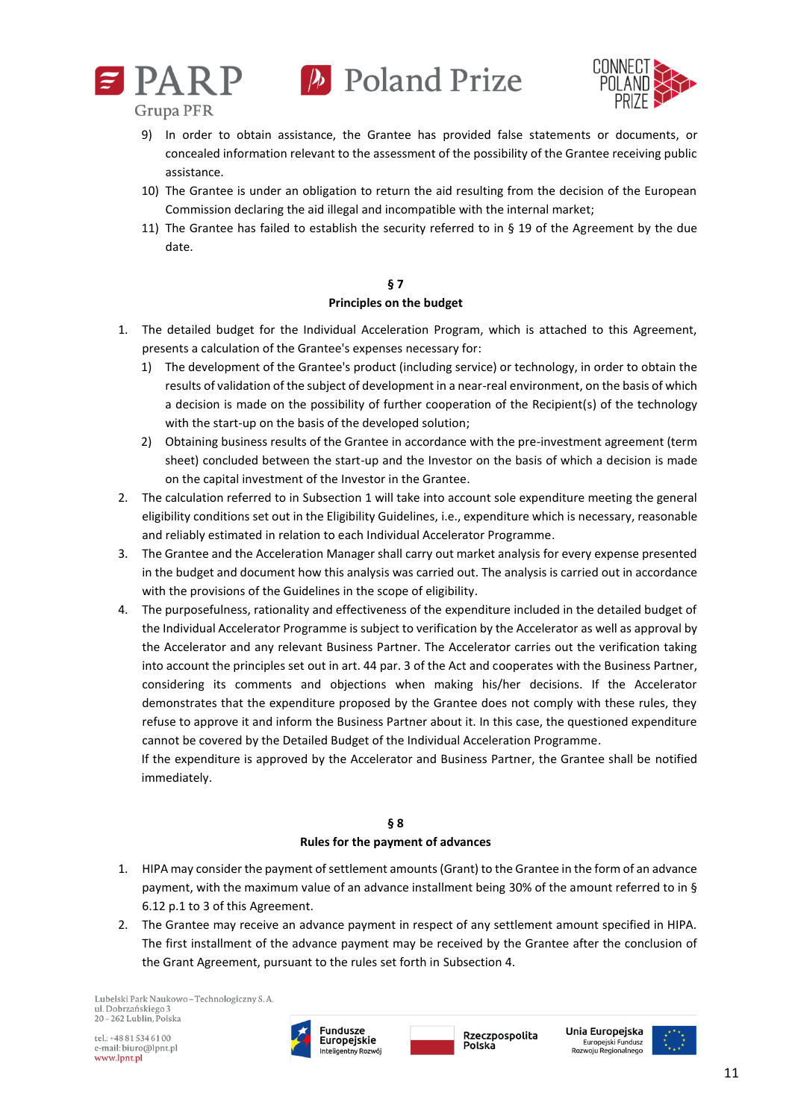



**Grupa PFR** 

- 9) In order to obtain assistance, the Grantee has provided false statements or documents, or concealed information relevant to the assessment of the possibility of the Grantee receiving public assistance.
- 10) The Grantee is under an obligation to return the aid resulting from the decision of the European Commission declaring the aid illegal and incompatible with the internal market;
- 11) The Grantee has failed to establish the security referred to in § 19 of the Agreement by the due date.

# **§ 7 Principles on the budget**

- 1. The detailed budget for the Individual Acceleration Program, which is attached to this Agreement, presents a calculation of the Grantee's expenses necessary for:
	- 1) The development of the Grantee's product (including service) or technology, in order to obtain the results of validation of the subject of development in a near-real environment, on the basis of which a decision is made on the possibility of further cooperation of the Recipient(s) of the technology with the start-up on the basis of the developed solution;
	- 2) Obtaining business results of the Grantee in accordance with the pre-investment agreement (term sheet) concluded between the start-up and the Investor on the basis of which a decision is made on the capital investment of the Investor in the Grantee.
- 2. The calculation referred to in Subsection 1 will take into account sole expenditure meeting the general eligibility conditions set out in the Eligibility Guidelines, i.e., expenditure which is necessary, reasonable and reliably estimated in relation to each Individual Accelerator Programme.
- 3. The Grantee and the Acceleration Manager shall carry out market analysis for every expense presented in the budget and document how this analysis was carried out. The analysis is carried out in accordance with the provisions of the Guidelines in the scope of eligibility.
- 4. The purposefulness, rationality and effectiveness of the expenditure included in the detailed budget of the Individual Accelerator Programme is subject to verification by the Accelerator as well as approval by the Accelerator and any relevant Business Partner. The Accelerator carries out the verification taking into account the principles set out in art. 44 par. 3 of the Act and cooperates with the Business Partner, considering its comments and objections when making his/her decisions. If the Accelerator demonstrates that the expenditure proposed by the Grantee does not comply with these rules, they refuse to approve it and inform the Business Partner about it. In this case, the questioned expenditure cannot be covered by the Detailed Budget of the Individual Acceleration Programme.

If the expenditure is approved by the Accelerator and Business Partner, the Grantee shall be notified immediately.

# **§ 8**

# **Rules for the payment of advances**

- 1. HIPA may consider the payment of settlement amounts (Grant) to the Grantee in the form of an advance payment, with the maximum value of an advance installment being 30% of the amount referred to in § 6.12 p.1 to 3 of this Agreement.
- 2. The Grantee may receive an advance payment in respect of any settlement amount specified in HIPA. The first installment of the advance payment may be received by the Grantee after the conclusion of the Grant Agreement, pursuant to the rules set forth in Subsection 4.

Lubelski Park Naukowo - Technologiczny S. A. ul. Dobrzańskiego 3  $20 - 262$  Lublin. Polska

tel.: +48 81 534 61 00 e-mail: biuro@lpnt.pl www.lpnt.pl



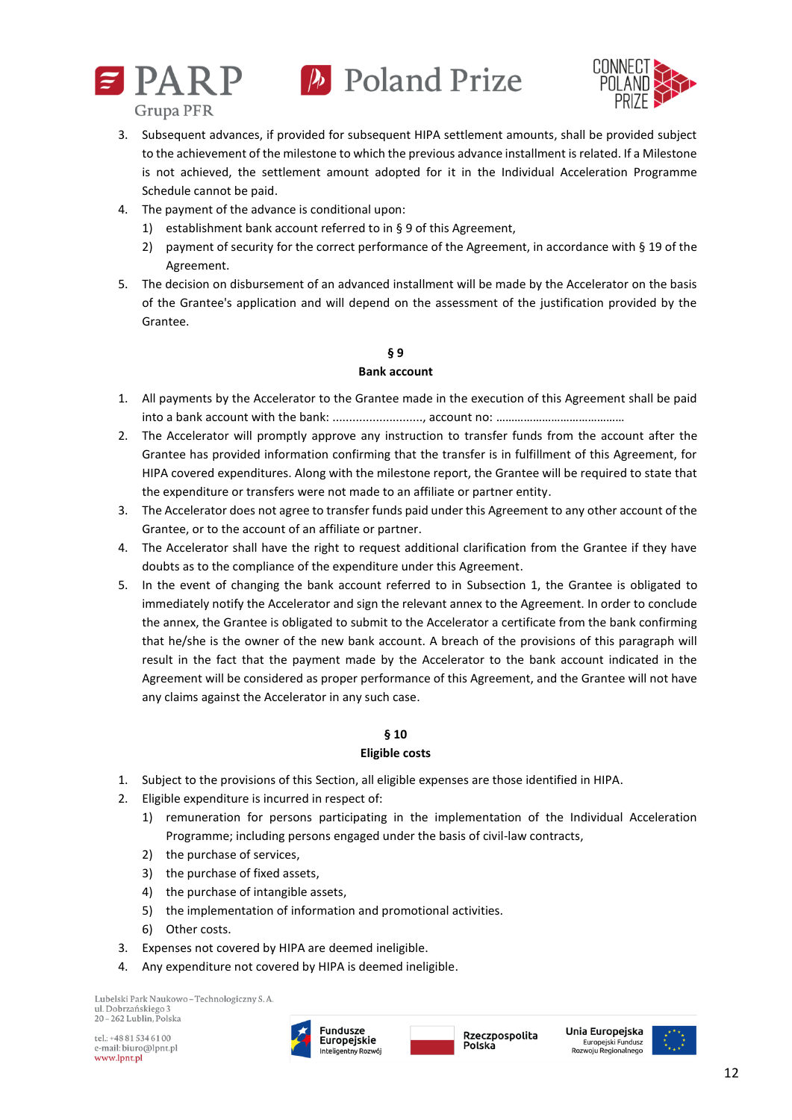



- 3. Subsequent advances, if provided for subsequent HIPA settlement amounts, shall be provided subject to the achievement of the milestone to which the previous advance installment is related. If a Milestone is not achieved, the settlement amount adopted for it in the Individual Acceleration Programme Schedule cannot be paid.
- 4. The payment of the advance is conditional upon:
	- 1) establishment bank account referred to in § 9 of this Agreement,
	- 2) payment of security for the correct performance of the Agreement, in accordance with § 19 of the Agreement.
- 5. The decision on disbursement of an advanced installment will be made by the Accelerator on the basis of the Grantee's application and will depend on the assessment of the justification provided by the Grantee.

# **§ 9 Bank account**

- 1. All payments by the Accelerator to the Grantee made in the execution of this Agreement shall be paid into a bank account with the bank: ............................ account no: ……………………………………………
- 2. The Accelerator will promptly approve any instruction to transfer funds from the account after the Grantee has provided information confirming that the transfer is in fulfillment of this Agreement, for HIPA covered expenditures. Along with the milestone report, the Grantee will be required to state that the expenditure or transfers were not made to an affiliate or partner entity.
- 3. The Accelerator does not agree to transfer funds paid under this Agreement to any other account of the Grantee, or to the account of an affiliate or partner.
- 4. The Accelerator shall have the right to request additional clarification from the Grantee if they have doubts as to the compliance of the expenditure under this Agreement.
- 5. In the event of changing the bank account referred to in Subsection 1, the Grantee is obligated to immediately notify the Accelerator and sign the relevant annex to the Agreement. In order to conclude the annex, the Grantee is obligated to submit to the Accelerator a certificate from the bank confirming that he/she is the owner of the new bank account. A breach of the provisions of this paragraph will result in the fact that the payment made by the Accelerator to the bank account indicated in the Agreement will be considered as proper performance of this Agreement, and the Grantee will not have any claims against the Accelerator in any such case.

# **§ 10**

# **Eligible costs**

- 1. Subject to the provisions of this Section, all eligible expenses are those identified in HIPA.
- 2. Eligible expenditure is incurred in respect of:
	- 1) remuneration for persons participating in the implementation of the Individual Acceleration Programme; including persons engaged under the basis of civil-law contracts,
	- 2) the purchase of services,
	- 3) the purchase of fixed assets,
	- 4) the purchase of intangible assets,
	- 5) the implementation of information and promotional activities.
	- 6) Other costs.
- 3. Expenses not covered by HIPA are deemed ineligible.
- 4. Any expenditure not covered by HIPA is deemed ineligible.

Lubelski Park Naukowo - Technologiczny S. A. ul. Dobrzańskiego 3  $20 - 262$  Lublin. Polska

tel.: +48 81 534 61 00 e-mail: biuro@lpnt.pl www.lpnt.pl



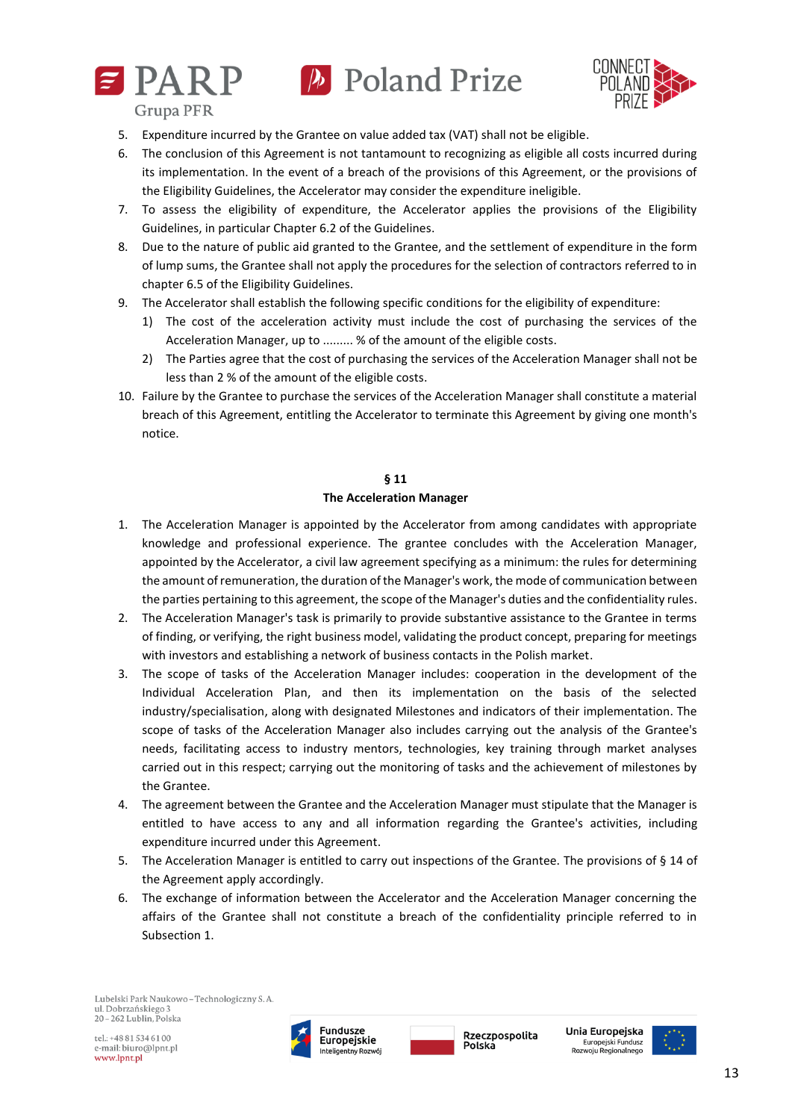



**Grupa PFR** 

- 5. Expenditure incurred by the Grantee on value added tax (VAT) shall not be eligible.
- 6. The conclusion of this Agreement is not tantamount to recognizing as eligible all costs incurred during its implementation. In the event of a breach of the provisions of this Agreement, or the provisions of the Eligibility Guidelines, the Accelerator may consider the expenditure ineligible.
- 7. To assess the eligibility of expenditure, the Accelerator applies the provisions of the Eligibility Guidelines, in particular Chapter 6.2 of the Guidelines.
- 8. Due to the nature of public aid granted to the Grantee, and the settlement of expenditure in the form of lump sums, the Grantee shall not apply the procedures for the selection of contractors referred to in chapter 6.5 of the Eligibility Guidelines.
- 9. The Accelerator shall establish the following specific conditions for the eligibility of expenditure:
	- 1) The cost of the acceleration activity must include the cost of purchasing the services of the Acceleration Manager, up to ......... % of the amount of the eligible costs.
	- 2) The Parties agree that the cost of purchasing the services of the Acceleration Manager shall not be less than 2 % of the amount of the eligible costs.
- 10. Failure by the Grantee to purchase the services of the Acceleration Manager shall constitute a material breach of this Agreement, entitling the Accelerator to terminate this Agreement by giving one month's notice.

#### **§ 11**

#### **The Acceleration Manager**

- 1. The Acceleration Manager is appointed by the Accelerator from among candidates with appropriate knowledge and professional experience. The grantee concludes with the Acceleration Manager, appointed by the Accelerator, a civil law agreement specifying as a minimum: the rules for determining the amount of remuneration, the duration of the Manager's work, the mode of communication between the parties pertaining to this agreement, the scope of the Manager's duties and the confidentiality rules.
- 2. The Acceleration Manager's task is primarily to provide substantive assistance to the Grantee in terms of finding, or verifying, the right business model, validating the product concept, preparing for meetings with investors and establishing a network of business contacts in the Polish market.
- 3. The scope of tasks of the Acceleration Manager includes: cooperation in the development of the Individual Acceleration Plan, and then its implementation on the basis of the selected industry/specialisation, along with designated Milestones and indicators of their implementation. The scope of tasks of the Acceleration Manager also includes carrying out the analysis of the Grantee's needs, facilitating access to industry mentors, technologies, key training through market analyses carried out in this respect; carrying out the monitoring of tasks and the achievement of milestones by the Grantee.
- 4. The agreement between the Grantee and the Acceleration Manager must stipulate that the Manager is entitled to have access to any and all information regarding the Grantee's activities, including expenditure incurred under this Agreement.
- 5. The Acceleration Manager is entitled to carry out inspections of the Grantee. The provisions of § 14 of the Agreement apply accordingly.
- 6. The exchange of information between the Accelerator and the Acceleration Manager concerning the affairs of the Grantee shall not constitute a breach of the confidentiality principle referred to in Subsection 1.





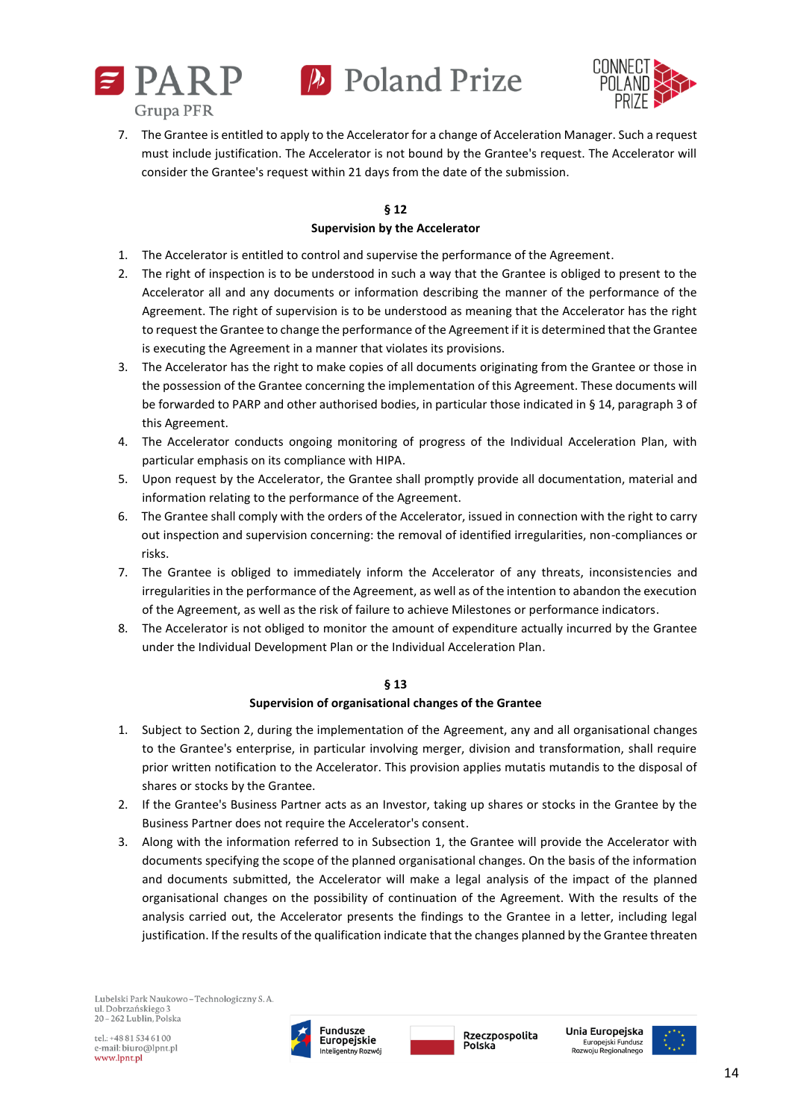



7. The Grantee is entitled to apply to the Accelerator for a change of Acceleration Manager. Such a request must include justification. The Accelerator is not bound by the Grantee's request. The Accelerator will consider the Grantee's request within 21 days from the date of the submission.

### **§ 12 Supervision by the Accelerator**

- 1. The Accelerator is entitled to control and supervise the performance of the Agreement.
- 2. The right of inspection is to be understood in such a way that the Grantee is obliged to present to the Accelerator all and any documents or information describing the manner of the performance of the Agreement. The right of supervision is to be understood as meaning that the Accelerator has the right to request the Grantee to change the performance of the Agreement if it is determined that the Grantee is executing the Agreement in a manner that violates its provisions.
- 3. The Accelerator has the right to make copies of all documents originating from the Grantee or those in the possession of the Grantee concerning the implementation of this Agreement. These documents will be forwarded to PARP and other authorised bodies, in particular those indicated in § 14, paragraph 3 of this Agreement.
- 4. The Accelerator conducts ongoing monitoring of progress of the Individual Acceleration Plan, with particular emphasis on its compliance with HIPA.
- 5. Upon request by the Accelerator, the Grantee shall promptly provide all documentation, material and information relating to the performance of the Agreement.
- 6. The Grantee shall comply with the orders of the Accelerator, issued in connection with the right to carry out inspection and supervision concerning: the removal of identified irregularities, non-compliances or risks.
- 7. The Grantee is obliged to immediately inform the Accelerator of any threats, inconsistencies and irregularities in the performance of the Agreement, as well as of the intention to abandon the execution of the Agreement, as well as the risk of failure to achieve Milestones or performance indicators.
- 8. The Accelerator is not obliged to monitor the amount of expenditure actually incurred by the Grantee under the Individual Development Plan or the Individual Acceleration Plan.

# **§ 13**

#### **Supervision of organisational changes of the Grantee**

- 1. Subject to Section 2, during the implementation of the Agreement, any and all organisational changes to the Grantee's enterprise, in particular involving merger, division and transformation, shall require prior written notification to the Accelerator. This provision applies mutatis mutandis to the disposal of shares or stocks by the Grantee.
- 2. If the Grantee's Business Partner acts as an Investor, taking up shares or stocks in the Grantee by the Business Partner does not require the Accelerator's consent.
- 3. Along with the information referred to in Subsection 1, the Grantee will provide the Accelerator with documents specifying the scope of the planned organisational changes. On the basis of the information and documents submitted, the Accelerator will make a legal analysis of the impact of the planned organisational changes on the possibility of continuation of the Agreement. With the results of the analysis carried out, the Accelerator presents the findings to the Grantee in a letter, including legal justification. If the results of the qualification indicate that the changes planned by the Grantee threaten





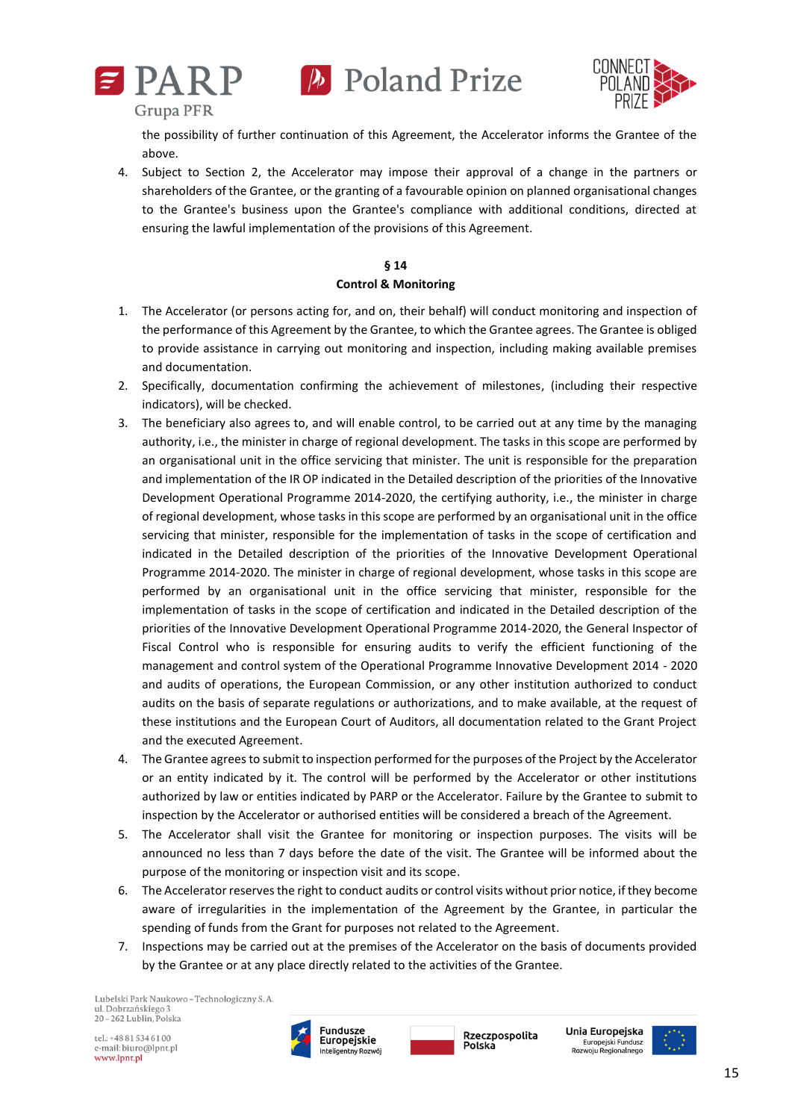





the possibility of further continuation of this Agreement, the Accelerator informs the Grantee of the above.

4. Subject to Section 2, the Accelerator may impose their approval of a change in the partners or shareholders of the Grantee, or the granting of a favourable opinion on planned organisational changes to the Grantee's business upon the Grantee's compliance with additional conditions, directed at ensuring the lawful implementation of the provisions of this Agreement.

# **§ 14 Control & Monitoring**

- 1. The Accelerator (or persons acting for, and on, their behalf) will conduct monitoring and inspection of the performance of this Agreement by the Grantee, to which the Grantee agrees. The Grantee is obliged to provide assistance in carrying out monitoring and inspection, including making available premises and documentation.
- 2. Specifically, documentation confirming the achievement of milestones, (including their respective indicators), will be checked.
- 3. The beneficiary also agrees to, and will enable control, to be carried out at any time by the managing authority, i.e., the minister in charge of regional development. The tasks in this scope are performed by an organisational unit in the office servicing that minister. The unit is responsible for the preparation and implementation of the IR OP indicated in the Detailed description of the priorities of the Innovative Development Operational Programme 2014-2020, the certifying authority, i.e., the minister in charge of regional development, whose tasks in this scope are performed by an organisational unit in the office servicing that minister, responsible for the implementation of tasks in the scope of certification and indicated in the Detailed description of the priorities of the Innovative Development Operational Programme 2014-2020. The minister in charge of regional development, whose tasks in this scope are performed by an organisational unit in the office servicing that minister, responsible for the implementation of tasks in the scope of certification and indicated in the Detailed description of the priorities of the Innovative Development Operational Programme 2014-2020, the General Inspector of Fiscal Control who is responsible for ensuring audits to verify the efficient functioning of the management and control system of the Operational Programme Innovative Development 2014 - 2020 and audits of operations, the European Commission, or any other institution authorized to conduct audits on the basis of separate regulations or authorizations, and to make available, at the request of these institutions and the European Court of Auditors, all documentation related to the Grant Project and the executed Agreement.
- 4. The Grantee agrees to submit to inspection performed for the purposes of the Project by the Accelerator or an entity indicated by it. The control will be performed by the Accelerator or other institutions authorized by law or entities indicated by PARP or the Accelerator. Failure by the Grantee to submit to inspection by the Accelerator or authorised entities will be considered a breach of the Agreement.
- 5. The Accelerator shall visit the Grantee for monitoring or inspection purposes. The visits will be announced no less than 7 days before the date of the visit. The Grantee will be informed about the purpose of the monitoring or inspection visit and its scope.
- 6. The Accelerator reserves the right to conduct audits or control visits without prior notice, if they become aware of irregularities in the implementation of the Agreement by the Grantee, in particular the spending of funds from the Grant for purposes not related to the Agreement.
- 7. Inspections may be carried out at the premises of the Accelerator on the basis of documents provided by the Grantee or at any place directly related to the activities of the Grantee.

Lubelski Park Naukowo - Technologiczny S. A. ul. Dobrzańskiego 3 20-262 Lublin, Polska

tel.: +48 81 534 61 00 e-mail: biuro@lpnt.pl www.lpnt.pl



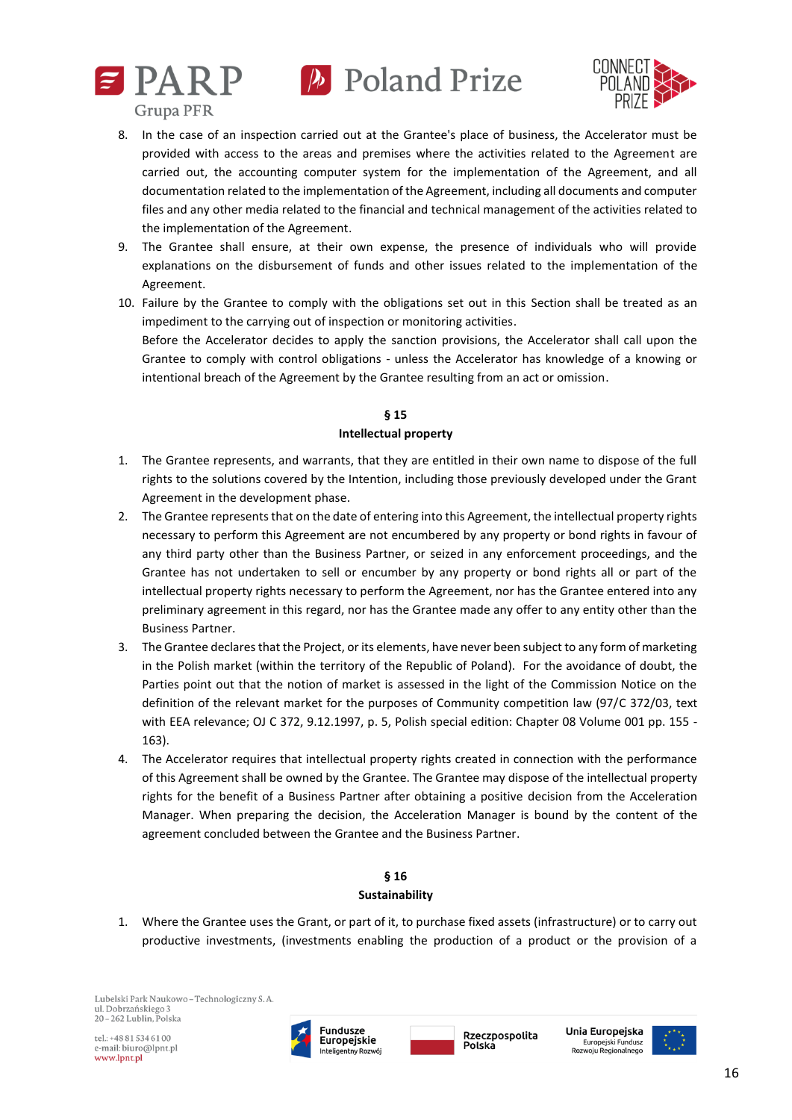





- 8. In the case of an inspection carried out at the Grantee's place of business, the Accelerator must be provided with access to the areas and premises where the activities related to the Agreement are carried out, the accounting computer system for the implementation of the Agreement, and all documentation related to the implementation of the Agreement, including all documents and computer files and any other media related to the financial and technical management of the activities related to the implementation of the Agreement.
- 9. The Grantee shall ensure, at their own expense, the presence of individuals who will provide explanations on the disbursement of funds and other issues related to the implementation of the Agreement.
- 10. Failure by the Grantee to comply with the obligations set out in this Section shall be treated as an impediment to the carrying out of inspection or monitoring activities.

Before the Accelerator decides to apply the sanction provisions, the Accelerator shall call upon the Grantee to comply with control obligations - unless the Accelerator has knowledge of a knowing or intentional breach of the Agreement by the Grantee resulting from an act or omission.

### **§ 15 Intellectual property**

- 1. The Grantee represents, and warrants, that they are entitled in their own name to dispose of the full rights to the solutions covered by the Intention, including those previously developed under the Grant Agreement in the development phase.
- 2. The Grantee represents that on the date of entering into this Agreement, the intellectual property rights necessary to perform this Agreement are not encumbered by any property or bond rights in favour of any third party other than the Business Partner, or seized in any enforcement proceedings, and the Grantee has not undertaken to sell or encumber by any property or bond rights all or part of the intellectual property rights necessary to perform the Agreement, nor has the Grantee entered into any preliminary agreement in this regard, nor has the Grantee made any offer to any entity other than the Business Partner.
- 3. The Grantee declares that the Project, or its elements, have never been subject to any form of marketing in the Polish market (within the territory of the Republic of Poland). For the avoidance of doubt, the Parties point out that the notion of market is assessed in the light of the Commission Notice on the definition of the relevant market for the purposes of Community competition law (97/C 372/03, text with EEA relevance; OJ C 372, 9.12.1997, p. 5, Polish special edition: Chapter 08 Volume 001 pp. 155 - 163).
- 4. The Accelerator requires that intellectual property rights created in connection with the performance of this Agreement shall be owned by the Grantee. The Grantee may dispose of the intellectual property rights for the benefit of a Business Partner after obtaining a positive decision from the Acceleration Manager. When preparing the decision, the Acceleration Manager is bound by the content of the agreement concluded between the Grantee and the Business Partner.

# **§ 16 Sustainability**

1. Where the Grantee uses the Grant, or part of it, to purchase fixed assets (infrastructure) or to carry out productive investments, (investments enabling the production of a product or the provision of a

Lubelski Park Naukowo - Technologiczny S. A. ul. Dobrzańskiego 3 20-262 Lublin, Polska

tel.: +48 81 534 61 00 e-mail: biuro@lpnt.pl www.lpnt.pl



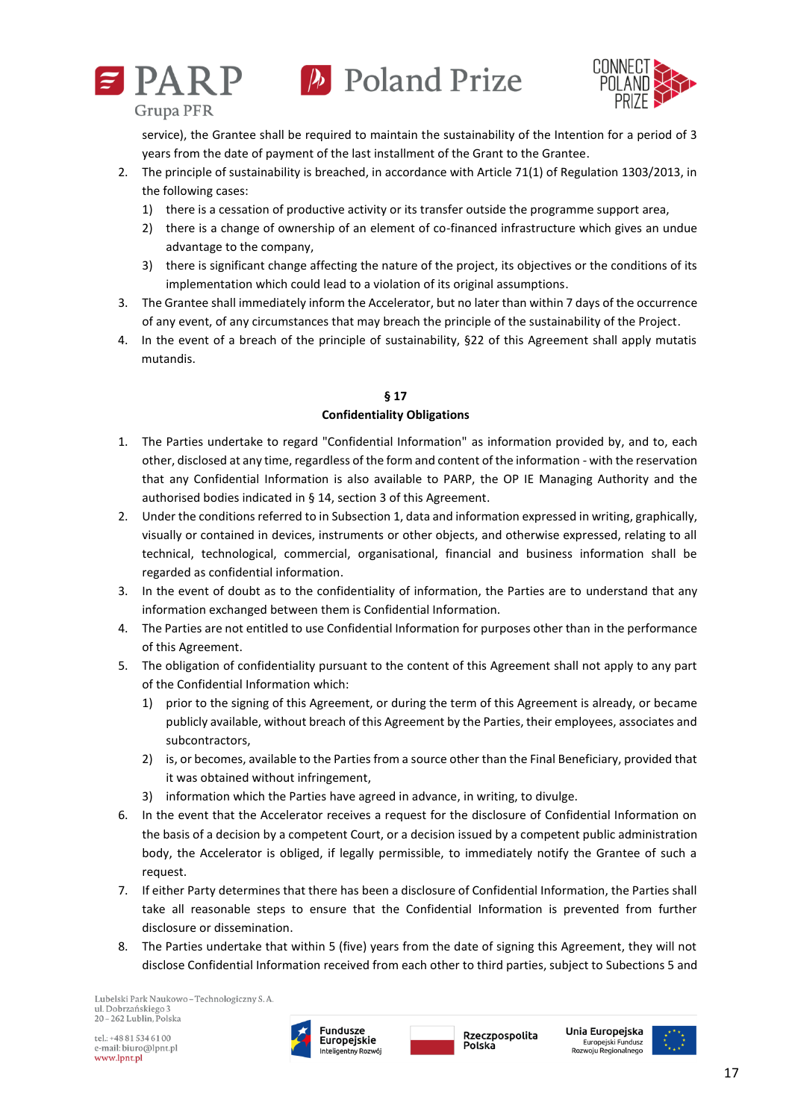





service), the Grantee shall be required to maintain the sustainability of the Intention for a period of 3 years from the date of payment of the last installment of the Grant to the Grantee.

- 2. The principle of sustainability is breached, in accordance with Article 71(1) of Regulation 1303/2013, in the following cases:
	- 1) there is a cessation of productive activity or its transfer outside the programme support area,
	- 2) there is a change of ownership of an element of co-financed infrastructure which gives an undue advantage to the company,
	- 3) there is significant change affecting the nature of the project, its objectives or the conditions of its implementation which could lead to a violation of its original assumptions.
- 3. The Grantee shall immediately inform the Accelerator, but no later than within 7 days of the occurrence of any event, of any circumstances that may breach the principle of the sustainability of the Project.
- 4. In the event of a breach of the principle of sustainability, §22 of this Agreement shall apply mutatis mutandis.

# **§ 17**

### **Confidentiality Obligations**

- 1. The Parties undertake to regard "Confidential Information" as information provided by, and to, each other, disclosed at any time, regardless of the form and content of the information - with the reservation that any Confidential Information is also available to PARP, the OP IE Managing Authority and the authorised bodies indicated in § 14, section 3 of this Agreement.
- 2. Under the conditions referred to in Subsection 1, data and information expressed in writing, graphically, visually or contained in devices, instruments or other objects, and otherwise expressed, relating to all technical, technological, commercial, organisational, financial and business information shall be regarded as confidential information.
- 3. In the event of doubt as to the confidentiality of information, the Parties are to understand that any information exchanged between them is Confidential Information.
- 4. The Parties are not entitled to use Confidential Information for purposes other than in the performance of this Agreement.
- 5. The obligation of confidentiality pursuant to the content of this Agreement shall not apply to any part of the Confidential Information which:
	- 1) prior to the signing of this Agreement, or during the term of this Agreement is already, or became publicly available, without breach of this Agreement by the Parties, their employees, associates and subcontractors,
	- 2) is, or becomes, available to the Parties from a source other than the Final Beneficiary, provided that it was obtained without infringement,
	- 3) information which the Parties have agreed in advance, in writing, to divulge.
- 6. In the event that the Accelerator receives a request for the disclosure of Confidential Information on the basis of a decision by a competent Court, or a decision issued by a competent public administration body, the Accelerator is obliged, if legally permissible, to immediately notify the Grantee of such a request.
- 7. If either Party determines that there has been a disclosure of Confidential Information, the Parties shall take all reasonable steps to ensure that the Confidential Information is prevented from further disclosure or dissemination.
- 8. The Parties undertake that within 5 (five) years from the date of signing this Agreement, they will not disclose Confidential Information received from each other to third parties, subject to Subections 5 and

Lubelski Park Naukowo - Technologiczny S. A. ul. Dobrzańskiego 3  $20 - 262$  Lublin. Polska



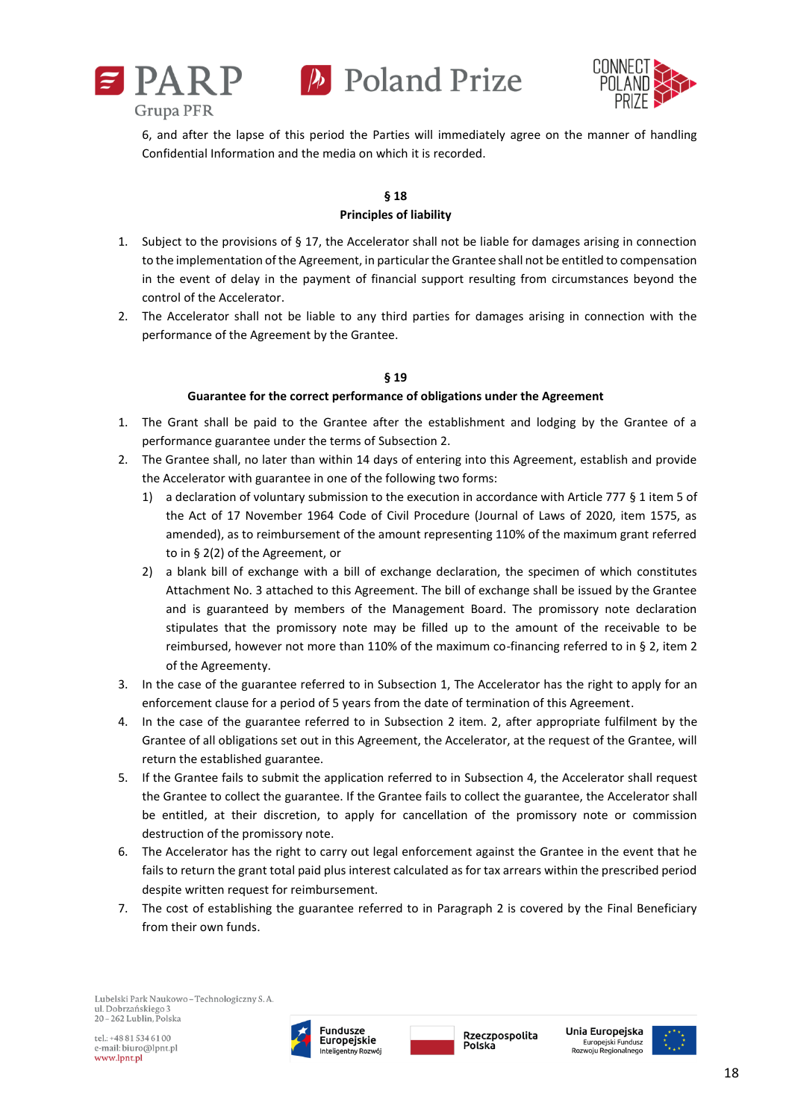



6, and after the lapse of this period the Parties will immediately agree on the manner of handling Confidential Information and the media on which it is recorded.

# **§ 18 Principles of liability**

- 1. Subject to the provisions of § 17, the Accelerator shall not be liable for damages arising in connection to the implementation of the Agreement, in particular the Grantee shall not be entitled to compensation in the event of delay in the payment of financial support resulting from circumstances beyond the control of the Accelerator.
- 2. The Accelerator shall not be liable to any third parties for damages arising in connection with the performance of the Agreement by the Grantee.

# **§ 19**

### **Guarantee for the correct performance of obligations under the Agreement**

- 1. The Grant shall be paid to the Grantee after the establishment and lodging by the Grantee of a performance guarantee under the terms of Subsection 2.
- 2. The Grantee shall, no later than within 14 days of entering into this Agreement, establish and provide the Accelerator with guarantee in one of the following two forms:
	- 1) a declaration of voluntary submission to the execution in accordance with Article 777 § 1 item 5 of the Act of 17 November 1964 Code of Civil Procedure (Journal of Laws of 2020, item 1575, as amended), as to reimbursement of the amount representing 110% of the maximum grant referred to in § 2(2) of the Agreement, or
	- 2) a blank bill of exchange with a bill of exchange declaration, the specimen of which constitutes Attachment No. 3 attached to this Agreement. The bill of exchange shall be issued by the Grantee and is guaranteed by members of the Management Board. The promissory note declaration stipulates that the promissory note may be filled up to the amount of the receivable to be reimbursed, however not more than 110% of the maximum co-financing referred to in § 2, item 2 of the Agreementy.
- 3. In the case of the guarantee referred to in Subsection 1, The Accelerator has the right to apply for an enforcement clause for a period of 5 years from the date of termination of this Agreement.
- 4. In the case of the guarantee referred to in Subsection 2 item. 2, after appropriate fulfilment by the Grantee of all obligations set out in this Agreement, the Accelerator, at the request of the Grantee, will return the established guarantee.
- 5. If the Grantee fails to submit the application referred to in Subsection 4, the Accelerator shall request the Grantee to collect the guarantee. If the Grantee fails to collect the guarantee, the Accelerator shall be entitled, at their discretion, to apply for cancellation of the promissory note or commission destruction of the promissory note.
- 6. The Accelerator has the right to carry out legal enforcement against the Grantee in the event that he fails to return the grant total paid plus interest calculated as for tax arrears within the prescribed period despite written request for reimbursement.
- 7. The cost of establishing the guarantee referred to in Paragraph 2 is covered by the Final Beneficiary from their own funds.



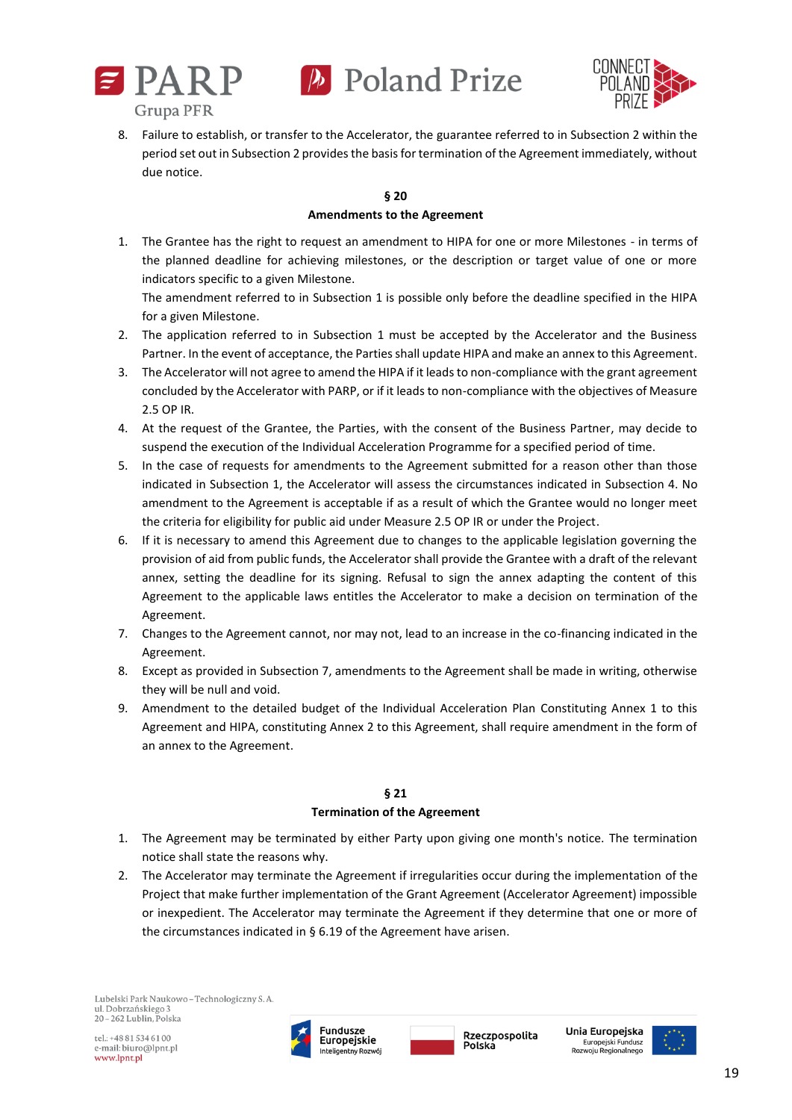



8. Failure to establish, or transfer to the Accelerator, the guarantee referred to in Subsection 2 within the period set out in Subsection 2 provides the basis for termination of the Agreement immediately, without due notice.

# **§ 20**

# **Amendments to the Agreement**

1. The Grantee has the right to request an amendment to HIPA for one or more Milestones - in terms of the planned deadline for achieving milestones, or the description or target value of one or more indicators specific to a given Milestone.

The amendment referred to in Subsection 1 is possible only before the deadline specified in the HIPA for a given Milestone.

- 2. The application referred to in Subsection 1 must be accepted by the Accelerator and the Business Partner. In the event of acceptance, the Parties shall update HIPA and make an annex to this Agreement.
- 3. The Accelerator will not agree to amend the HIPA if it leads to non-compliance with the grant agreement concluded by the Accelerator with PARP, or if it leads to non-compliance with the objectives of Measure 2.5 OP IR.
- 4. At the request of the Grantee, the Parties, with the consent of the Business Partner, may decide to suspend the execution of the Individual Acceleration Programme for a specified period of time.
- 5. In the case of requests for amendments to the Agreement submitted for a reason other than those indicated in Subsection 1, the Accelerator will assess the circumstances indicated in Subsection 4. No amendment to the Agreement is acceptable if as a result of which the Grantee would no longer meet the criteria for eligibility for public aid under Measure 2.5 OP IR or under the Project.
- 6. If it is necessary to amend this Agreement due to changes to the applicable legislation governing the provision of aid from public funds, the Accelerator shall provide the Grantee with a draft of the relevant annex, setting the deadline for its signing. Refusal to sign the annex adapting the content of this Agreement to the applicable laws entitles the Accelerator to make a decision on termination of the Agreement.
- 7. Changes to the Agreement cannot, nor may not, lead to an increase in the co-financing indicated in the Agreement.
- 8. Except as provided in Subsection 7, amendments to the Agreement shall be made in writing, otherwise they will be null and void.
- 9. Amendment to the detailed budget of the Individual Acceleration Plan Constituting Annex 1 to this Agreement and HIPA, constituting Annex 2 to this Agreement, shall require amendment in the form of an annex to the Agreement.

# **§ 21 Termination of the Agreement**

- 1. The Agreement may be terminated by either Party upon giving one month's notice. The termination notice shall state the reasons why.
- 2. The Accelerator may terminate the Agreement if irregularities occur during the implementation of the Project that make further implementation of the Grant Agreement (Accelerator Agreement) impossible or inexpedient. The Accelerator may terminate the Agreement if they determine that one or more of the circumstances indicated in § 6.19 of the Agreement have arisen.



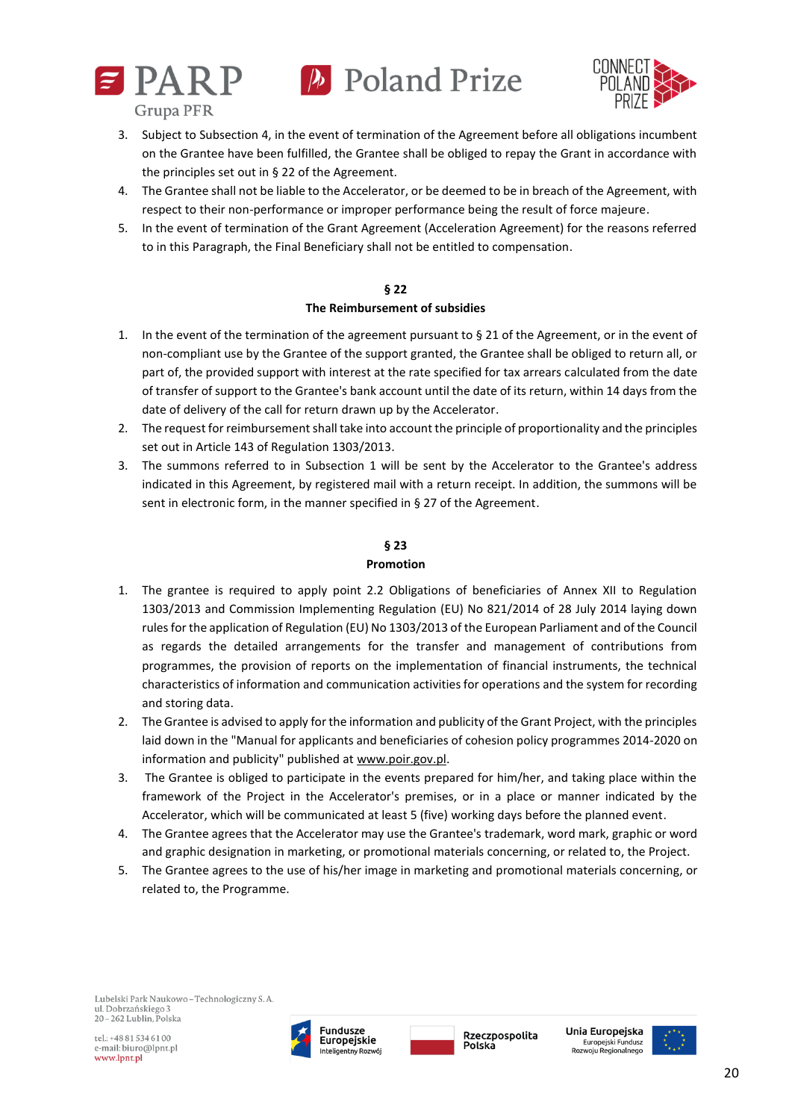



- 3. Subject to Subsection 4, in the event of termination of the Agreement before all obligations incumbent on the Grantee have been fulfilled, the Grantee shall be obliged to repay the Grant in accordance with the principles set out in § 22 of the Agreement.
- 4. The Grantee shall not be liable to the Accelerator, or be deemed to be in breach of the Agreement, with respect to their non-performance or improper performance being the result of force majeure.
- 5. In the event of termination of the Grant Agreement (Acceleration Agreement) for the reasons referred to in this Paragraph, the Final Beneficiary shall not be entitled to compensation.

# **§ 22**

# **The Reimbursement of subsidies**

- 1. In the event of the termination of the agreement pursuant to § 21 of the Agreement, or in the event of non-compliant use by the Grantee of the support granted, the Grantee shall be obliged to return all, or part of, the provided support with interest at the rate specified for tax arrears calculated from the date of transfer of support to the Grantee's bank account until the date of its return, within 14 days from the date of delivery of the call for return drawn up by the Accelerator.
- 2. The request for reimbursement shall take into account the principle of proportionality and the principles set out in Article 143 of Regulation 1303/2013.
- 3. The summons referred to in Subsection 1 will be sent by the Accelerator to the Grantee's address indicated in this Agreement, by registered mail with a return receipt. In addition, the summons will be sent in electronic form, in the manner specified in § 27 of the Agreement.

# **§ 23**

# **Promotion**

- 1. The grantee is required to apply point 2.2 Obligations of beneficiaries of Annex XII to Regulation 1303/2013 and Commission Implementing Regulation (EU) No 821/2014 of 28 July 2014 laying down rules for the application of Regulation (EU) No 1303/2013 of the European Parliament and of the Council as regards the detailed arrangements for the transfer and management of contributions from programmes, the provision of reports on the implementation of financial instruments, the technical characteristics of information and communication activities for operations and the system for recording and storing data.
- 2. The Grantee is advised to apply for the information and publicity of the Grant Project, with the principles laid down in the "Manual for applicants and beneficiaries of cohesion policy programmes 2014-2020 on information and publicity" published at [www.poir.gov.pl.](http://www.poir.gov.pl/)
- 3. The Grantee is obliged to participate in the events prepared for him/her, and taking place within the framework of the Project in the Accelerator's premises, or in a place or manner indicated by the Accelerator, which will be communicated at least 5 (five) working days before the planned event.
- 4. The Grantee agrees that the Accelerator may use the Grantee's trademark, word mark, graphic or word and graphic designation in marketing, or promotional materials concerning, or related to, the Project.
- 5. The Grantee agrees to the use of his/her image in marketing and promotional materials concerning, or related to, the Programme.





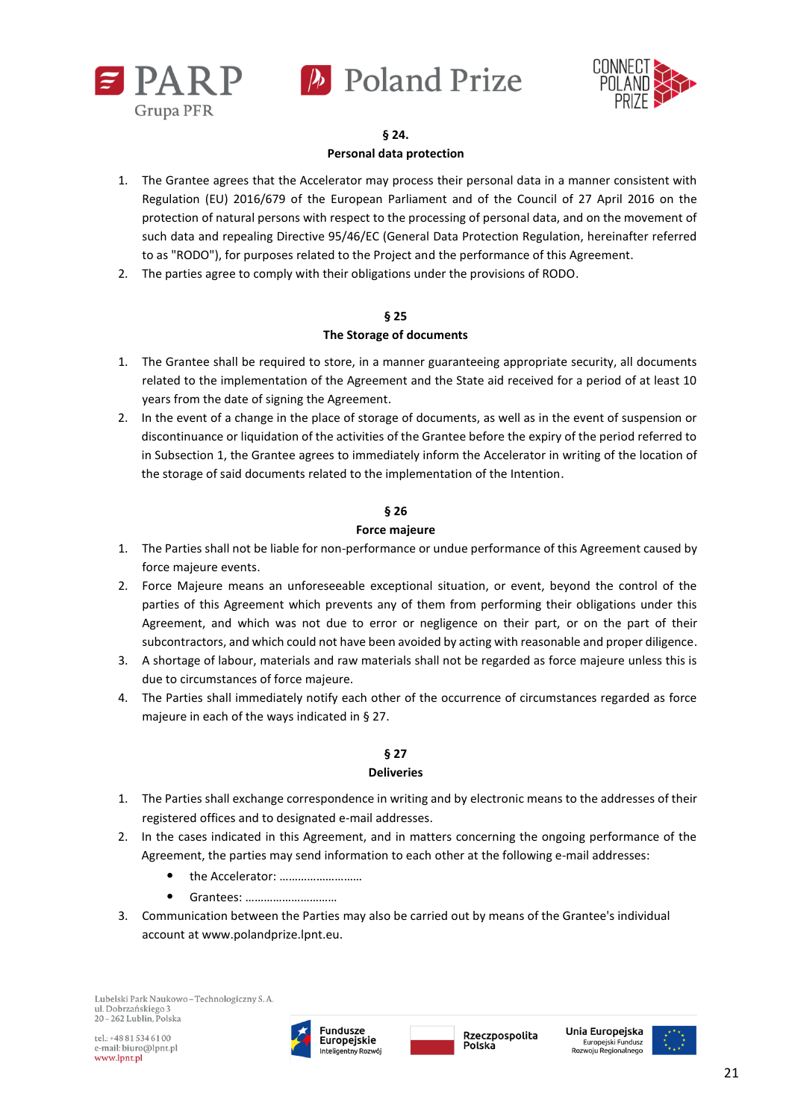



## **§ 24. Personal data protection**

- 1. The Grantee agrees that the Accelerator may process their personal data in a manner consistent with Regulation (EU) 2016/679 of the European Parliament and of the Council of 27 April 2016 on the protection of natural persons with respect to the processing of personal data, and on the movement of such data and repealing Directive 95/46/EC (General Data Protection Regulation, hereinafter referred to as "RODO"), for purposes related to the Project and the performance of this Agreement.
- 2. The parties agree to comply with their obligations under the provisions of RODO.

# **§ 25**

# **The Storage of documents**

- 1. The Grantee shall be required to store, in a manner guaranteeing appropriate security, all documents related to the implementation of the Agreement and the State aid received for a period of at least 10 years from the date of signing the Agreement.
- 2. In the event of a change in the place of storage of documents, as well as in the event of suspension or discontinuance or liquidation of the activities of the Grantee before the expiry of the period referred to in Subsection 1, the Grantee agrees to immediately inform the Accelerator in writing of the location of the storage of said documents related to the implementation of the Intention.

# **§ 26**

# **Force majeure**

- 1. The Parties shall not be liable for non-performance or undue performance of this Agreement caused by force majeure events.
- 2. Force Majeure means an unforeseeable exceptional situation, or event, beyond the control of the parties of this Agreement which prevents any of them from performing their obligations under this Agreement, and which was not due to error or negligence on their part, or on the part of their subcontractors, and which could not have been avoided by acting with reasonable and proper diligence.
- 3. A shortage of labour, materials and raw materials shall not be regarded as force majeure unless this is due to circumstances of force majeure.
- 4. The Parties shall immediately notify each other of the occurrence of circumstances regarded as force majeure in each of the ways indicated in § 27.

# **§ 27**

# **Deliveries**

- 1. The Parties shall exchange correspondence in writing and by electronic means to the addresses of their registered offices and to designated e-mail addresses.
- 2. In the cases indicated in this Agreement, and in matters concerning the ongoing performance of the Agreement, the parties may send information to each other at the following e-mail addresses:
	- the Accelerator: ………………………
	- Grantees: …………………………
- 3. Communication between the Parties may also be carried out by means of the Grantee's individual account at www.polandprize.lpnt.eu.



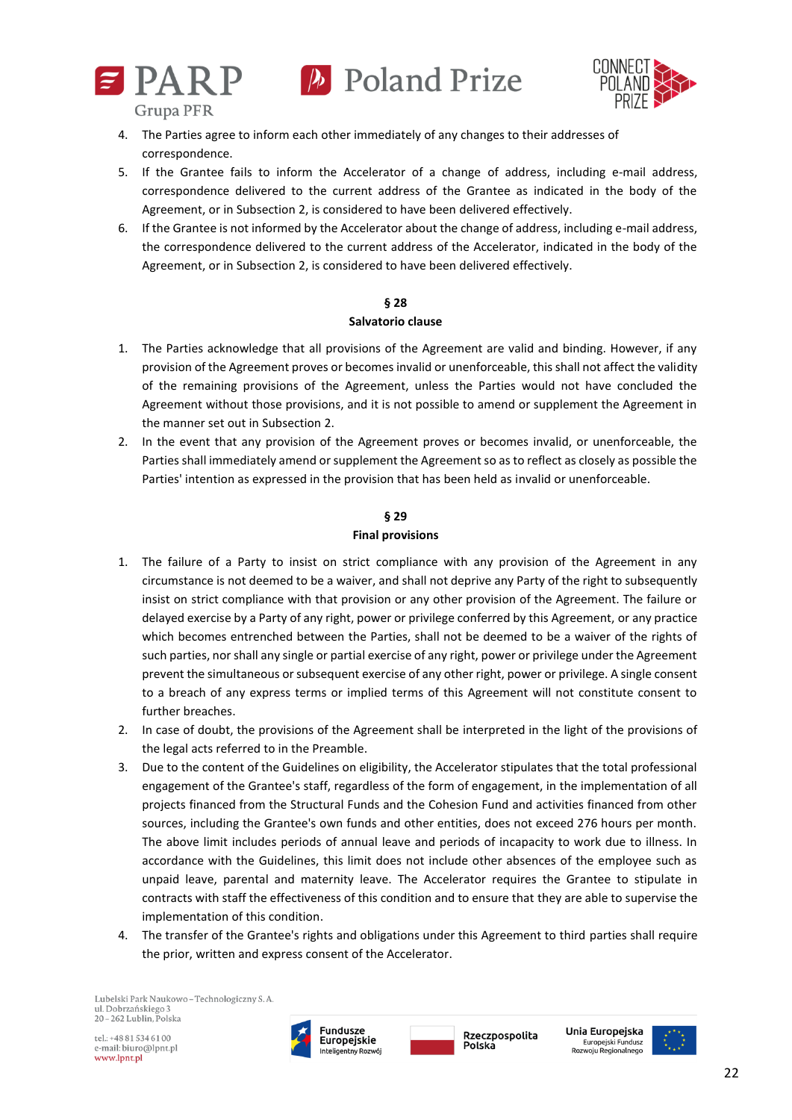



**Grupa PFR** 

- 4. The Parties agree to inform each other immediately of any changes to their addresses of correspondence.
- 5. If the Grantee fails to inform the Accelerator of a change of address, including e-mail address, correspondence delivered to the current address of the Grantee as indicated in the body of the Agreement, or in Subsection 2, is considered to have been delivered effectively.
- 6. If the Grantee is not informed by the Accelerator about the change of address, including e-mail address, the correspondence delivered to the current address of the Accelerator, indicated in the body of the Agreement, or in Subsection 2, is considered to have been delivered effectively.

### **§ 28**

#### **Salvatorio clause**

- 1. The Parties acknowledge that all provisions of the Agreement are valid and binding. However, if any provision of the Agreement proves or becomes invalid or unenforceable, this shall not affect the validity of the remaining provisions of the Agreement, unless the Parties would not have concluded the Agreement without those provisions, and it is not possible to amend or supplement the Agreement in the manner set out in Subsection 2.
- 2. In the event that any provision of the Agreement proves or becomes invalid, or unenforceable, the Parties shall immediately amend or supplement the Agreement so as to reflect as closely as possible the Parties' intention as expressed in the provision that has been held as invalid or unenforceable.

### **§ 29**

### **Final provisions**

- 1. The failure of a Party to insist on strict compliance with any provision of the Agreement in any circumstance is not deemed to be a waiver, and shall not deprive any Party of the right to subsequently insist on strict compliance with that provision or any other provision of the Agreement. The failure or delayed exercise by a Party of any right, power or privilege conferred by this Agreement, or any practice which becomes entrenched between the Parties, shall not be deemed to be a waiver of the rights of such parties, nor shall any single or partial exercise of any right, power or privilege under the Agreement prevent the simultaneous or subsequent exercise of any other right, power or privilege. A single consent to a breach of any express terms or implied terms of this Agreement will not constitute consent to further breaches.
- 2. In case of doubt, the provisions of the Agreement shall be interpreted in the light of the provisions of the legal acts referred to in the Preamble.
- 3. Due to the content of the Guidelines on eligibility, the Accelerator stipulates that the total professional engagement of the Grantee's staff, regardless of the form of engagement, in the implementation of all projects financed from the Structural Funds and the Cohesion Fund and activities financed from other sources, including the Grantee's own funds and other entities, does not exceed 276 hours per month. The above limit includes periods of annual leave and periods of incapacity to work due to illness. In accordance with the Guidelines, this limit does not include other absences of the employee such as unpaid leave, parental and maternity leave. The Accelerator requires the Grantee to stipulate in contracts with staff the effectiveness of this condition and to ensure that they are able to supervise the implementation of this condition.
- 4. The transfer of the Grantee's rights and obligations under this Agreement to third parties shall require the prior, written and express consent of the Accelerator.

Lubelski Park Naukowo - Technologiczny S. A. ul. Dobrzańskiego 3 20-262 Lublin, Polska

tel.: +48 81 534 61 00 e-mail: biuro@lpnt.pl www.lpnt.pl



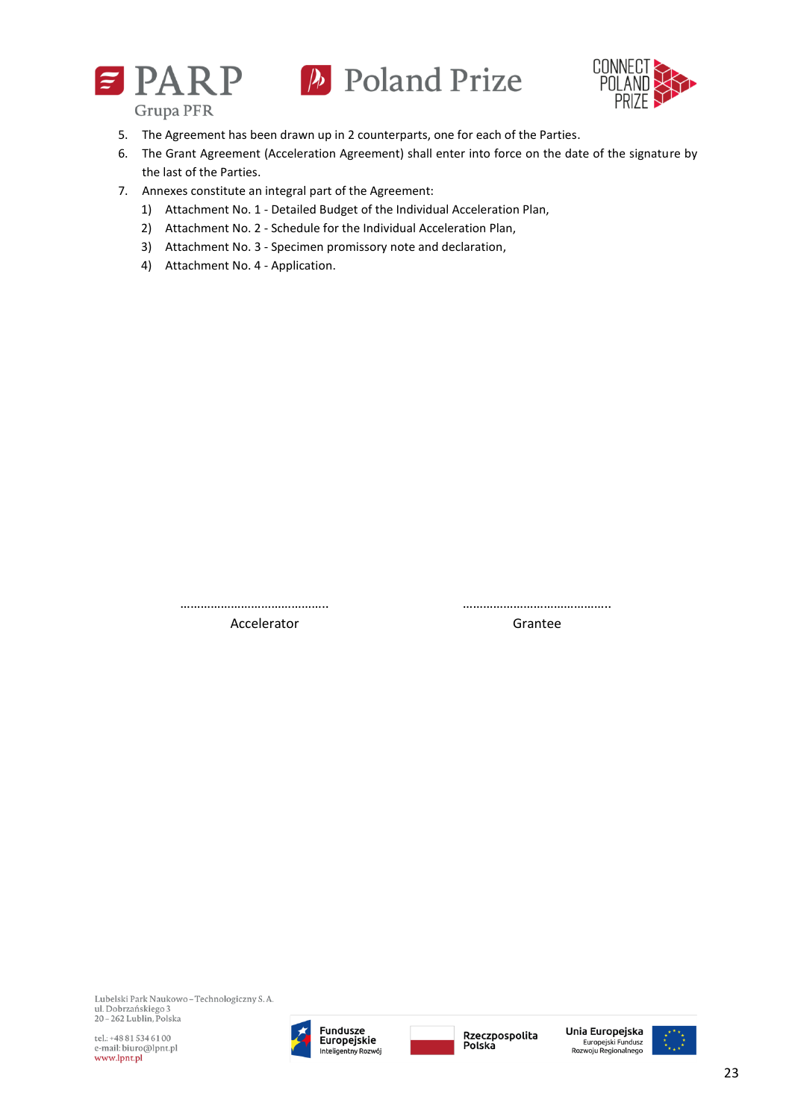





**Grupa PFR** 

- 5. The Agreement has been drawn up in 2 counterparts, one for each of the Parties.
- 6. The Grant Agreement (Acceleration Agreement) shall enter into force on the date of the signature by the last of the Parties.
- 7. Annexes constitute an integral part of the Agreement:
	- 1) Attachment No. 1 Detailed Budget of the Individual Acceleration Plan,
	- 2) Attachment No. 2 Schedule for the Individual Acceleration Plan,
	- 3) Attachment No. 3 Specimen promissory note and declaration,
	- 4) Attachment No. 4 Application.

…………………………………….. ……………………………………..

Accelerator **Grantee** 

Lubelski Park Naukowo - Technologiczny S. A. ul. Dobrzańskiego 3 20-262 Lublin, Polska

tel.: +48 81 534 61 00 e-mail: biuro@lpnt.pl www.lpnt.pl





Unia Europeiska Europejski Fundusz<br>Europejski Fundusz<br>Rozwoju Regionalnego

23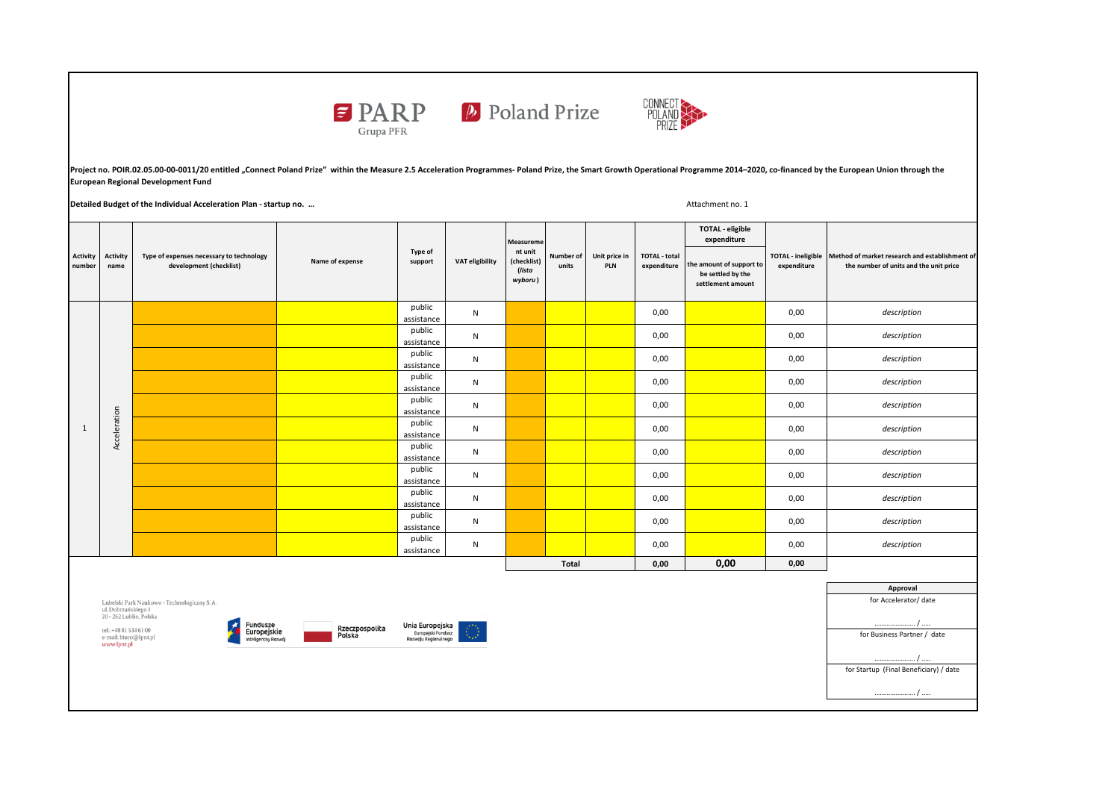



Project no. POIR.02.05.00-00-0011/20 entitled "Connect Poland Prize" within the Measure 2.5 Acceleration Programmes-Poland Prize, the Smart Growth Operational Programme 2014-2020, co-financed by the European Union through **European Regional Development Fund** 

**Detailed Budget of the Individual Acceleration Plan - startup no. …**

Attachment no. 1

| Activity<br>number | <b>Activity</b><br>name | Type of expenses necessary to technology<br>development (checklist) | Name of expense | Type of<br>support   | <b>VAT eligibility</b> | Measureme<br>nt unit<br>(checklist)<br>(lista<br>wyboru) | Number of<br>units | Unit price in<br>PLN | <b>TOTAL - total</b><br>expenditure | <b>TOTAL - eligible</b><br>expenditure                             | expenditure | TOTAL - ineligible Method of market research and establishment of<br>the number of units and the unit price |
|--------------------|-------------------------|---------------------------------------------------------------------|-----------------|----------------------|------------------------|----------------------------------------------------------|--------------------|----------------------|-------------------------------------|--------------------------------------------------------------------|-------------|-------------------------------------------------------------------------------------------------------------|
|                    |                         |                                                                     |                 |                      |                        |                                                          |                    |                      |                                     | the amount of support to<br>be settled by the<br>settlement amount |             |                                                                                                             |
| $\mathbf{1}$       | Acceleration            |                                                                     |                 | public<br>assistance | N                      |                                                          |                    |                      | 0,00                                |                                                                    | 0,00        | description                                                                                                 |
|                    |                         |                                                                     |                 | public<br>assistance | N                      |                                                          |                    |                      | 0,00                                |                                                                    | 0,00        | description                                                                                                 |
|                    |                         |                                                                     |                 | public<br>assistance | N                      |                                                          |                    |                      | 0,00                                |                                                                    | 0,00        | description                                                                                                 |
|                    |                         |                                                                     |                 | public<br>assistance | N                      |                                                          |                    |                      | 0,00                                |                                                                    | 0,00        | description                                                                                                 |
|                    |                         |                                                                     |                 | public<br>assistance | N                      |                                                          |                    |                      | 0,00                                |                                                                    | 0,00        | description                                                                                                 |
|                    |                         |                                                                     |                 | public<br>assistance | N                      |                                                          |                    |                      | 0,00                                |                                                                    | 0,00        | description                                                                                                 |
|                    |                         |                                                                     |                 | public<br>assistance | $\mathsf{N}$           |                                                          |                    |                      | 0,00                                |                                                                    | 0,00        | description                                                                                                 |
|                    |                         |                                                                     |                 | public<br>assistance | $\mathsf{N}$           |                                                          |                    |                      | 0,00                                |                                                                    | 0,00        | description                                                                                                 |
|                    |                         |                                                                     |                 | public<br>assistance | $\mathsf{N}$           |                                                          |                    |                      | 0,00                                |                                                                    | 0,00        | description                                                                                                 |
|                    |                         |                                                                     |                 | public<br>assistance | $\mathsf{N}$           |                                                          |                    |                      | 0,00                                |                                                                    | 0,00        | description                                                                                                 |
|                    |                         |                                                                     |                 | public<br>assistance | $\mathsf{N}$           |                                                          |                    |                      | 0,00                                |                                                                    | 0,00        | description                                                                                                 |
|                    |                         |                                                                     |                 |                      |                        | <b>Total</b>                                             |                    | 0,00                 | 0,00                                | 0,00                                                               |             |                                                                                                             |

Lubelski Park Naukowo – Technologiczny S. A.<br>ul. Dobrzańskiego 3<br>20 – 262 Lublin, Polska

tel.: +48 81 534 61 00<br>e-mail: biuro@lpnt.pl<br>**www.lpnt.pl** 





**Approval** for Accelerator/ date  $\blacksquare$ for Business Partner / date  $\overline{\phantom{a}}$ . for Startup (Final Beneficiary) / date … / ….